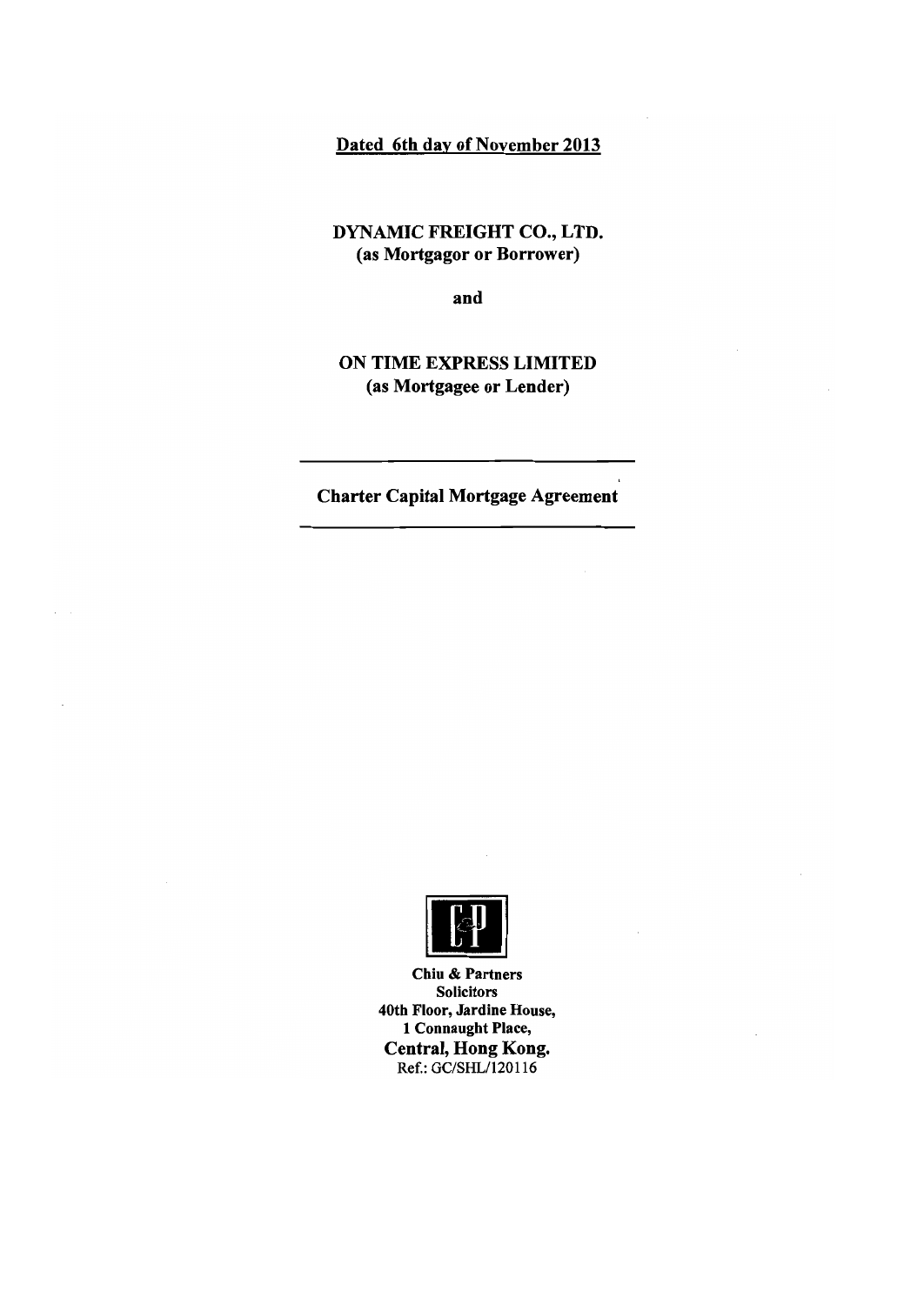### Dated 6th day of November 2013

DYNAMIC FREIGHT CO., LTD. (as Mortgagor or Borrower)

and

**ON TIME EXPRESS LIMITED** (as Mortgagee or Lender)

**Charter Capital Mortgage Agreement** 



Chiu & Partners **Solicitors** 40th Floor, Jardine House, 1 Connaught Place, **Central, Hong Kong.** Ref.: GC/SHL/120116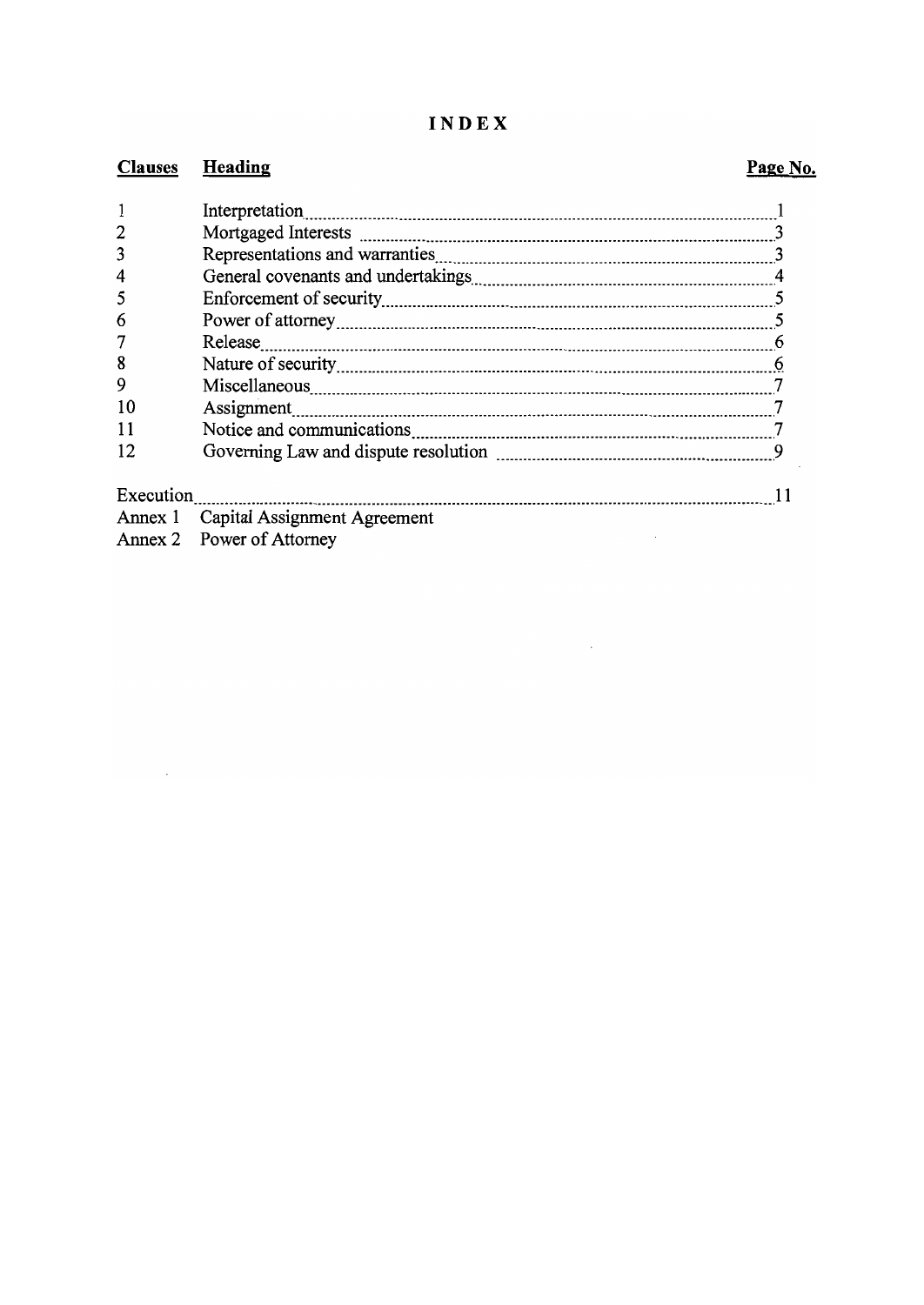### INDEX

#### **Clauses Heading**

 $\mathbf{1}$  $\overline{2}$ 

 $\overline{3}$ 

 $\overline{4}$ 

# $\Gamma$   $\alpha$   $\beta$   $\gamma$   $\gamma$

| 6  |  |
|----|--|
| 7  |  |
| 8  |  |
| 9  |  |
| 10 |  |
| 11 |  |
| 12 |  |
|    |  |
|    |  |

- Annex 1 Capital Assignment Agreement
- Annex 2 Power of Attorney

## Page No.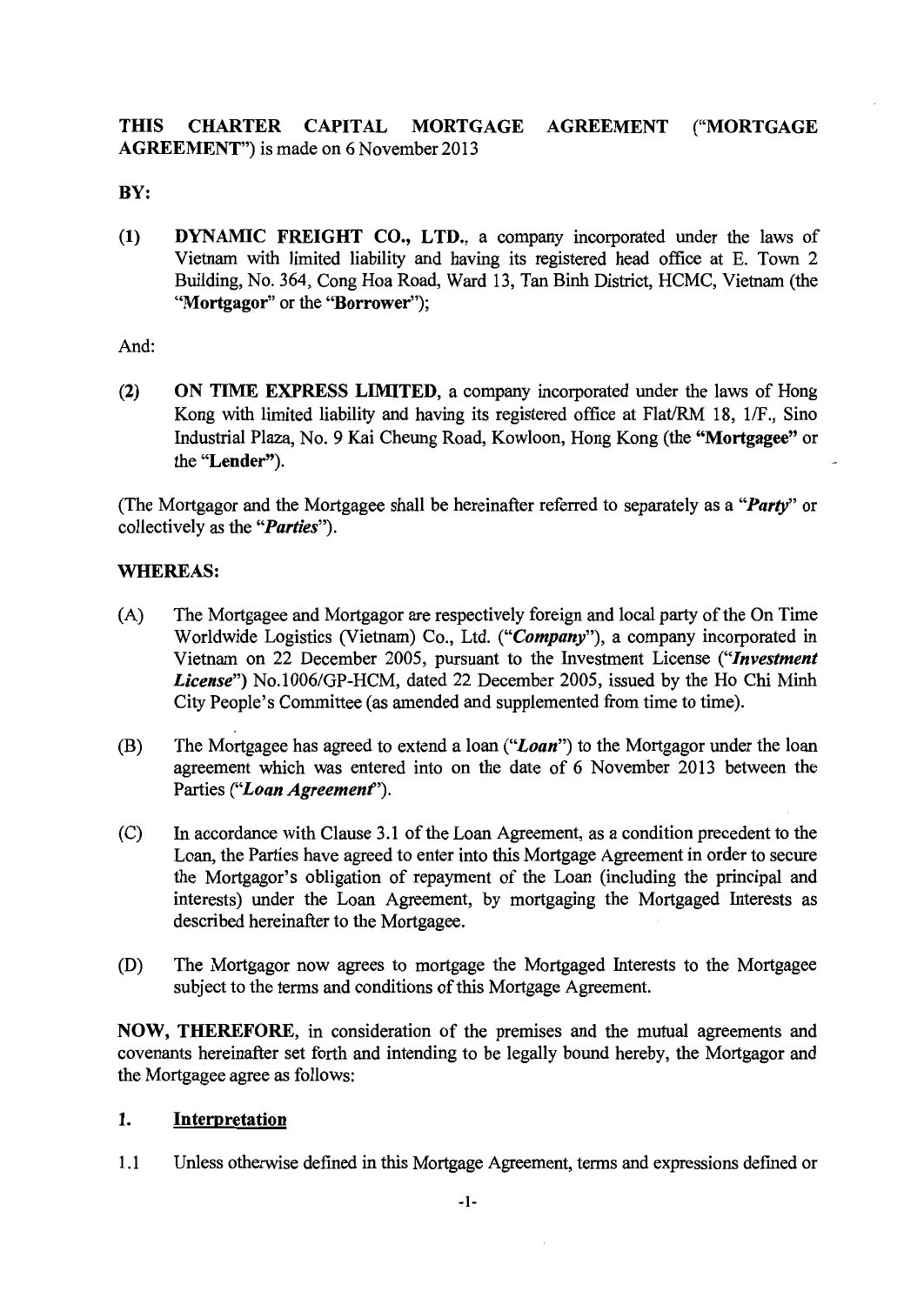**THIS CHARTER** CAPITAL MORTGAGE **AGREEMENT** ("MORTGAGE **AGREEMENT**") is made on 6 November 2013

BY:

 $(1)$ **DYNAMIC FREIGHT CO., LTD., a company incorporated under the laws of** Vietnam with limited liability and having its registered head office at E. Town 2 Building, No. 364, Cong Hoa Road, Ward 13, Tan Binh District, HCMC, Vietnam (the "Mortgagor" or the "Borrower"):

And:

 $(2)$ ON TIME EXPRESS LIMITED, a company incorporated under the laws of Hong Kong with limited liability and having its registered office at Flat/RM 18, 1/F., Sino Industrial Plaza, No. 9 Kai Cheung Road, Kowloon, Hong Kong (the "Mortgagee" or the "Lender").

(The Mortgagor and the Mortgagee shall be hereinafter referred to separately as a "*Party*" or collectively as the "*Parties*").

### **WHEREAS:**

- $(A)$ The Mortgagee and Mortgagor are respectively foreign and local party of the On Time Worldwide Logistics (Vietnam) Co., Ltd. ("Company"), a company incorporated in Vietnam on 22 December 2005, pursuant to the Investment License ("Investment" License") No.1006/GP-HCM, dated 22 December 2005, issued by the Ho Chi Minh City People's Committee (as amended and supplemented from time to time).
- (B) The Mortgagee has agreed to extend a loan ("Loan") to the Mortgagor under the loan agreement which was entered into on the date of 6 November 2013 between the Parties ("Loan Agreement").
- $(C)$ In accordance with Clause 3.1 of the Loan Agreement, as a condition precedent to the Loan, the Parties have agreed to enter into this Mortgage Agreement in order to secure the Mortgagor's obligation of repayment of the Loan (including the principal and interests) under the Loan Agreement, by mortgaging the Mortgaged Interests as described hereinafter to the Mortgagee.
- $(D)$ The Mortgagor now agrees to mortgage the Mortgaged Interests to the Mortgagee subject to the terms and conditions of this Mortgage Agreement.

NOW, THEREFORE, in consideration of the premises and the mutual agreements and covenants hereinafter set forth and intending to be legally bound hereby, the Mortgagor and the Mortgagee agree as follows:

### $\mathbf{1}$ . Interpretation

 $1.1$ Unless otherwise defined in this Mortgage Agreement, terms and expressions defined or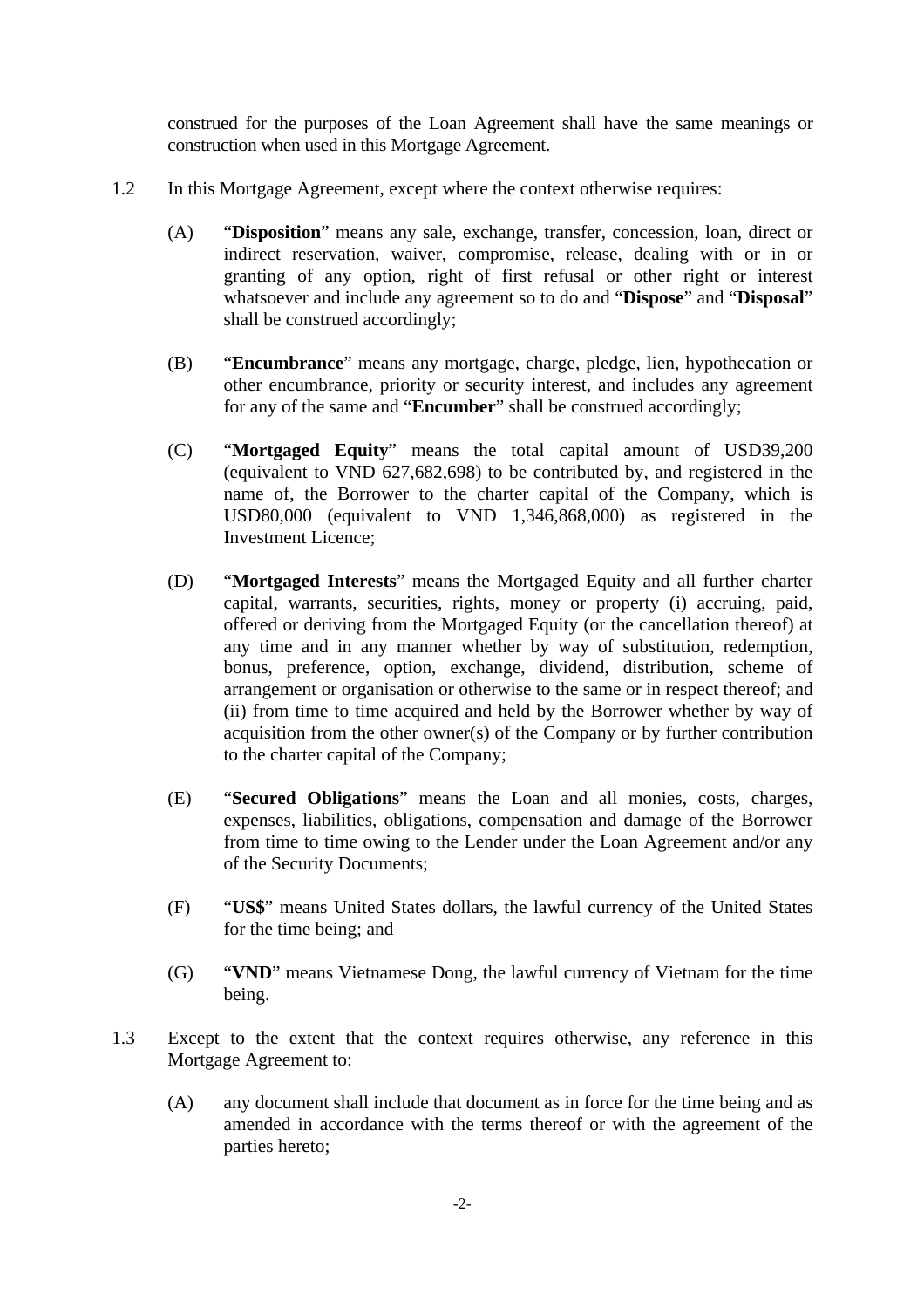construed for the purposes of the Loan Agreement shall have the same meanings or construction when used in this Mortgage Agreement.

- 1.2 In this Mortgage Agreement, except where the context otherwise requires:
	- (A) "**Disposition**" means any sale, exchange, transfer, concession, loan, direct or indirect reservation, waiver, compromise, release, dealing with or in or granting of any option, right of first refusal or other right or interest whatsoever and include any agreement so to do and "**Dispose**" and "**Disposal**" shall be construed accordingly;
	- (B) "**Encumbrance**" means any mortgage, charge, pledge, lien, hypothecation or other encumbrance, priority or security interest, and includes any agreement for any of the same and "**Encumber**" shall be construed accordingly;
	- (C) "**Mortgaged Equity**" means the total capital amount of USD39,200 (equivalent to VND 627,682,698) to be contributed by, and registered in the name of, the Borrower to the charter capital of the Company, which is USD80,000 (equivalent to VND 1,346,868,000) as registered in the Investment Licence;
	- (D) "**Mortgaged Interests**" means the Mortgaged Equity and all further charter capital, warrants, securities, rights, money or property (i) accruing, paid, offered or deriving from the Mortgaged Equity (or the cancellation thereof) at any time and in any manner whether by way of substitution, redemption, bonus, preference, option, exchange, dividend, distribution, scheme of arrangement or organisation or otherwise to the same or in respect thereof; and (ii) from time to time acquired and held by the Borrower whether by way of acquisition from the other owner(s) of the Company or by further contribution to the charter capital of the Company;
	- (E) "**Secured Obligations**" means the Loan and all monies, costs, charges, expenses, liabilities, obligations, compensation and damage of the Borrower from time to time owing to the Lender under the Loan Agreement and/or any of the Security Documents;
	- (F) "**US\$**" means United States dollars, the lawful currency of the United States for the time being; and
	- (G) "**VND**" means Vietnamese Dong, the lawful currency of Vietnam for the time being.
- 1.3 Except to the extent that the context requires otherwise, any reference in this Mortgage Agreement to:
	- (A) any document shall include that document as in force for the time being and as amended in accordance with the terms thereof or with the agreement of the parties hereto;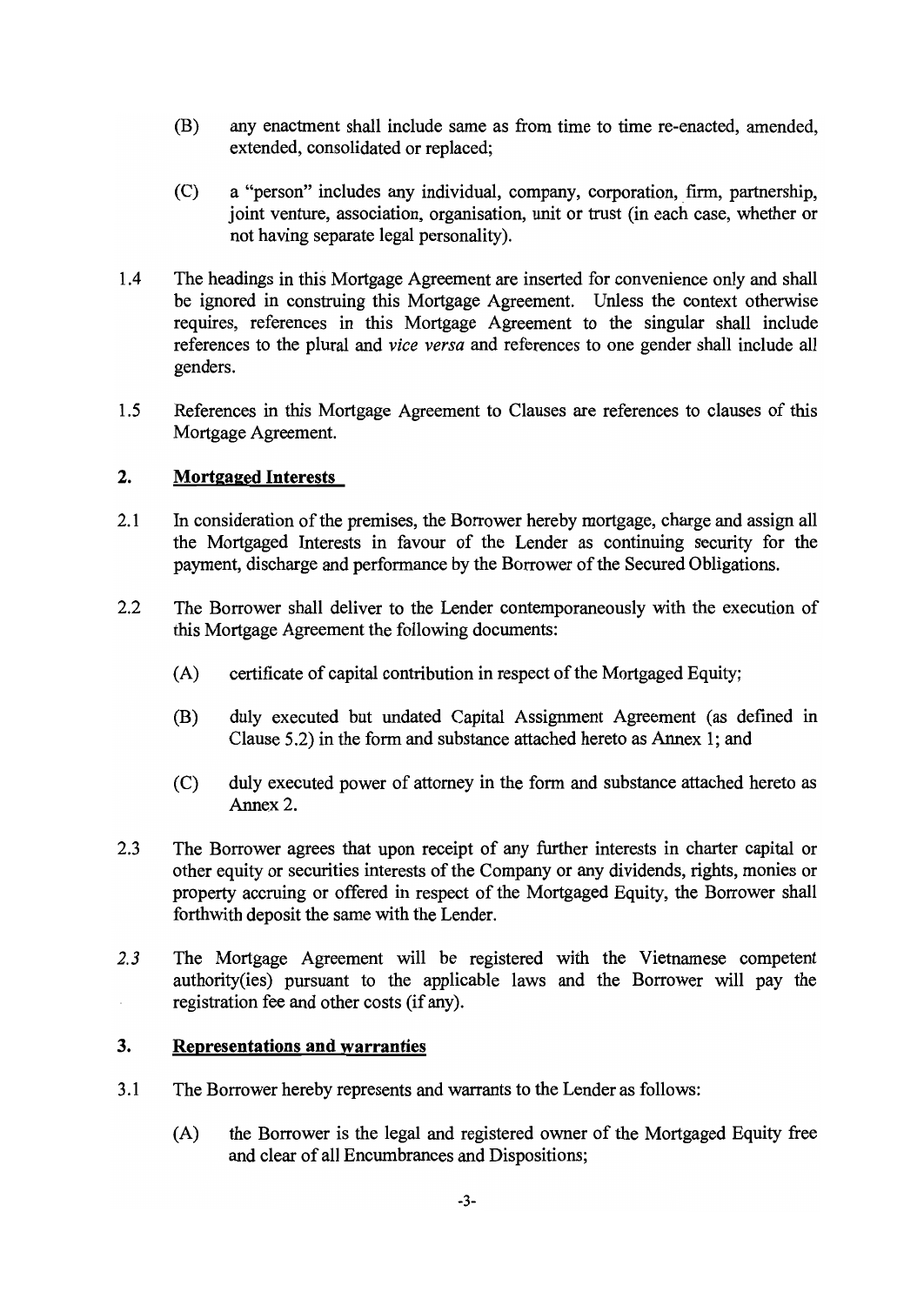- (B) any enactment shall include same as from time to time re-enacted, amended, extended, consolidated or replaced:
- a "person" includes any individual, company, corporation, firm, partnership,  $(C)$ joint venture, association, organisation, unit or trust (in each case, whether or not having separate legal personality).
- $1.4$ The headings in this Mortgage Agreement are inserted for convenience only and shall be ignored in construing this Mortgage Agreement. Unless the context otherwise requires, references in this Mortgage Agreement to the singular shall include references to the plural and vice versa and references to one gender shall include all genders.
- $1.5$ References in this Mortgage Agreement to Clauses are references to clauses of this Mortgage Agreement.

### $2.$ **Mortgaged Interests**

- $2.1$ In consideration of the premises, the Borrower hereby mortgage, charge and assign all the Mortgaged Interests in favour of the Lender as continuing security for the payment, discharge and performance by the Borrower of the Secured Obligations.
- $2.2$ The Borrower shall deliver to the Lender contemporaneously with the execution of this Mortgage Agreement the following documents:
	- $(A)$ certificate of capital contribution in respect of the Mortgaged Equity;
	- (B) duly executed but undated Capital Assignment Agreement (as defined in Clause 5.2) in the form and substance attached hereto as Annex 1; and
	- duly executed power of attorney in the form and substance attached hereto as  $(C)$ Annex 2.
- $2.3$ The Borrower agrees that upon receipt of any further interests in charter capital or other equity or securities interests of the Company or any dividends, rights, monies or property accruing or offered in respect of the Mortgaged Equity, the Borrower shall forthwith deposit the same with the Lender.
- $2.3$ The Mortgage Agreement will be registered with the Vietnamese competent authority (ies) pursuant to the applicable laws and the Borrower will pay the registration fee and other costs (if any).

### $3.$ **Representations and warranties**

- The Borrower hereby represents and warrants to the Lender as follows:  $3.1$ 
	- the Borrower is the legal and registered owner of the Mortgaged Equity free  $(A)$ and clear of all Encumbrances and Dispositions;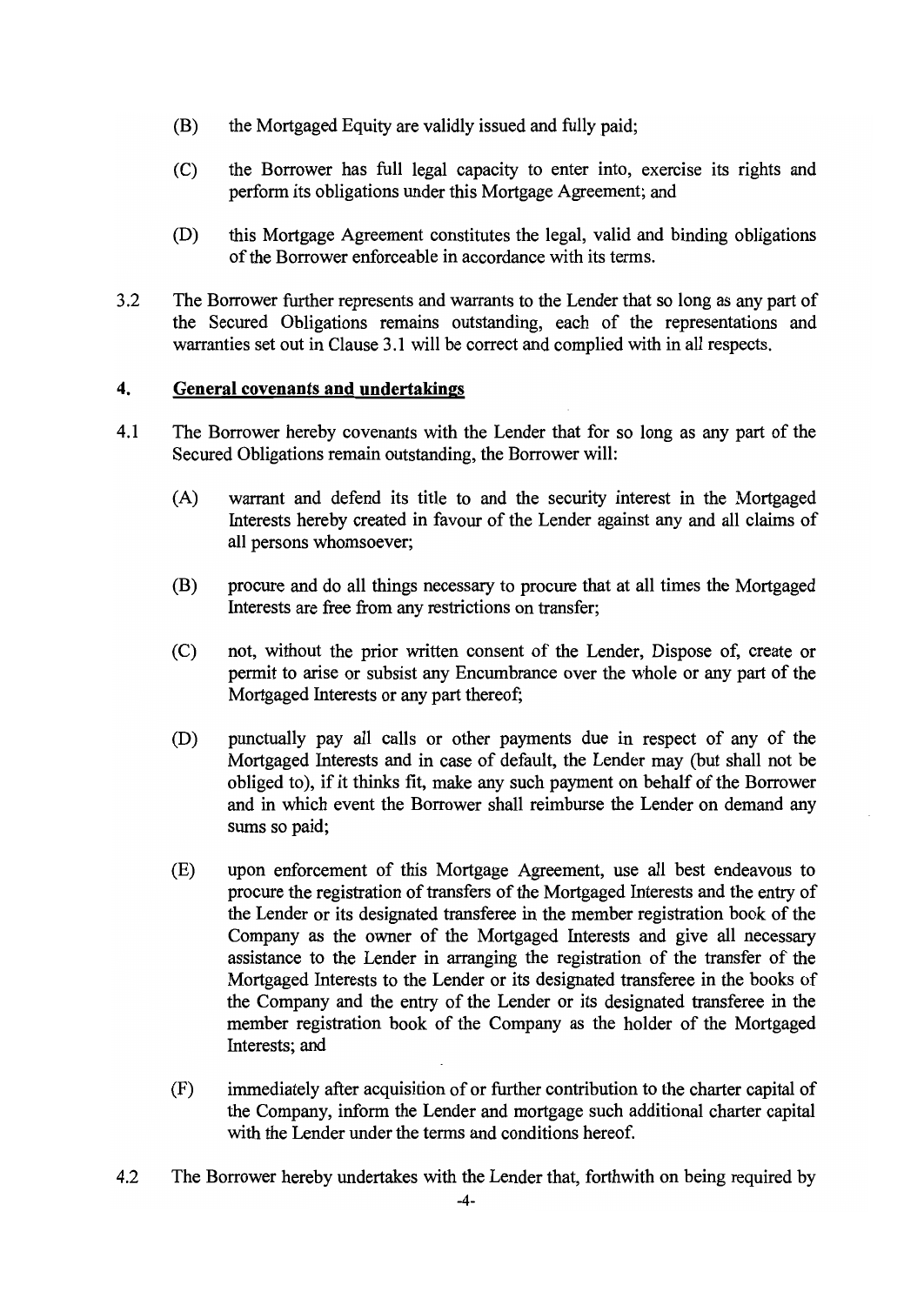- (B) the Mortgaged Equity are validly issued and fully paid;
- $(C)$ the Borrower has full legal capacity to enter into, exercise its rights and perform its obligations under this Mortgage Agreement; and
- $(D)$ this Mortgage Agreement constitutes the legal, valid and binding obligations of the Borrower enforceable in accordance with its terms.
- $3.2$ The Borrower further represents and warrants to the Lender that so long as any part of the Secured Obligations remains outstanding, each of the representations and warranties set out in Clause 3.1 will be correct and complied with in all respects.

#### $\overline{4}$ . General covenants and undertakings

- $4.1$ The Borrower hereby covenants with the Lender that for so long as any part of the Secured Obligations remain outstanding, the Borrower will:
	- $(A)$ warrant and defend its title to and the security interest in the Mortgaged Interests hereby created in favour of the Lender against any and all claims of all persons whomsoever;
	- (B) procure and do all things necessary to procure that at all times the Mortgaged Interests are free from any restrictions on transfer;
	- $(C)$ not, without the prior written consent of the Lender, Dispose of, create or permit to arise or subsist any Encumbrance over the whole or any part of the Mortgaged Interests or any part thereof;
	- (D) punctually pay all calls or other payments due in respect of any of the Mortgaged Interests and in case of default, the Lender may (but shall not be obliged to), if it thinks fit, make any such payment on behalf of the Borrower and in which event the Borrower shall reimburse the Lender on demand any sums so paid;
	- upon enforcement of this Mortgage Agreement, use all best endeavous to  $(E)$ procure the registration of transfers of the Mortgaged Interests and the entry of the Lender or its designated transferee in the member registration book of the Company as the owner of the Mortgaged Interests and give all necessary assistance to the Lender in arranging the registration of the transfer of the Mortgaged Interests to the Lender or its designated transferee in the books of the Company and the entry of the Lender or its designated transferee in the member registration book of the Company as the holder of the Mortgaged Interests; and
	- $(F)$ immediately after acquisition of or further contribution to the charter capital of the Company, inform the Lender and mortgage such additional charter capital with the Lender under the terms and conditions hereof.
- The Borrower hereby undertakes with the Lender that, forthwith on being required by  $4.2$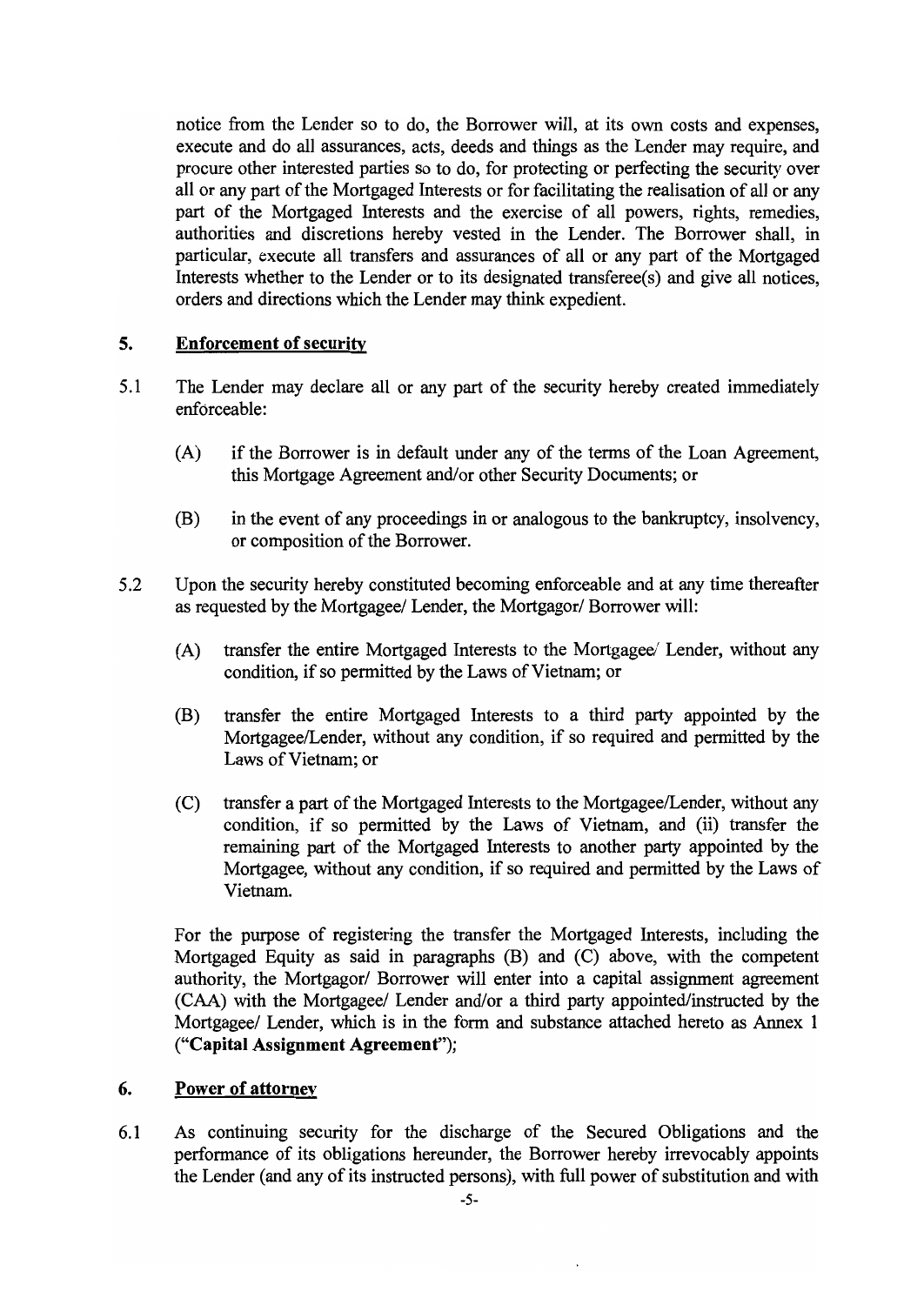notice from the Lender so to do, the Borrower will, at its own costs and expenses, execute and do all assurances, acts, deeds and things as the Lender may require, and procure other interested parties so to do, for protecting or perfecting the security over all or any part of the Mortgaged Interests or for facilitating the realisation of all or any part of the Mortgaged Interests and the exercise of all powers, rights, remedies, authorities and discretions hereby vested in the Lender. The Borrower shall, in particular, execute all transfers and assurances of all or any part of the Mortgaged Interests whether to the Lender or to its designated transferee(s) and give all notices. orders and directions which the Lender may think expedient.

#### 5. **Enforcement of security**

- $5.1$ The Lender may declare all or any part of the security hereby created immediately enforceable:
	- $(A)$ if the Borrower is in default under any of the terms of the Loan Agreement, this Mortgage Agreement and/or other Security Documents; or
	- (B) in the event of any proceedings in or analogous to the bankruptcy, insolvency, or composition of the Borrower.
- $5.2$ Upon the security hereby constituted becoming enforceable and at any time thereafter as requested by the Mortgagee/ Lender, the Mortgagor/ Borrower will:
	- $(A)$ transfer the entire Mortgaged Interests to the Mortgagee/ Lender, without any condition, if so permitted by the Laws of Vietnam; or
	- transfer the entire Mortgaged Interests to a third party appointed by the (B) Mortgagee/Lender, without any condition, if so required and permitted by the Laws of Vietnam; or
	- transfer a part of the Mortgaged Interests to the Mortgagee/Lender, without any  $(C)$ condition, if so permitted by the Laws of Vietnam, and (ii) transfer the remaining part of the Mortgaged Interests to another party appointed by the Mortgagee, without any condition, if so required and permitted by the Laws of Vietnam.

For the purpose of registering the transfer the Mortgaged Interests, including the Mortgaged Equity as said in paragraphs (B) and (C) above, with the competent authority, the Mortgagor/ Borrower will enter into a capital assignment agreement (CAA) with the Mortgagee/ Lender and/or a third party appointed/instructed by the Mortgagee/ Lender, which is in the form and substance attached hereto as Annex 1 ("Capital Assignment Agreement");

#### 6. Power of attorney

 $6.1$ As continuing security for the discharge of the Secured Obligations and the performance of its obligations hereunder, the Borrower hereby irrevocably appoints the Lender (and any of its instructed persons), with full power of substitution and with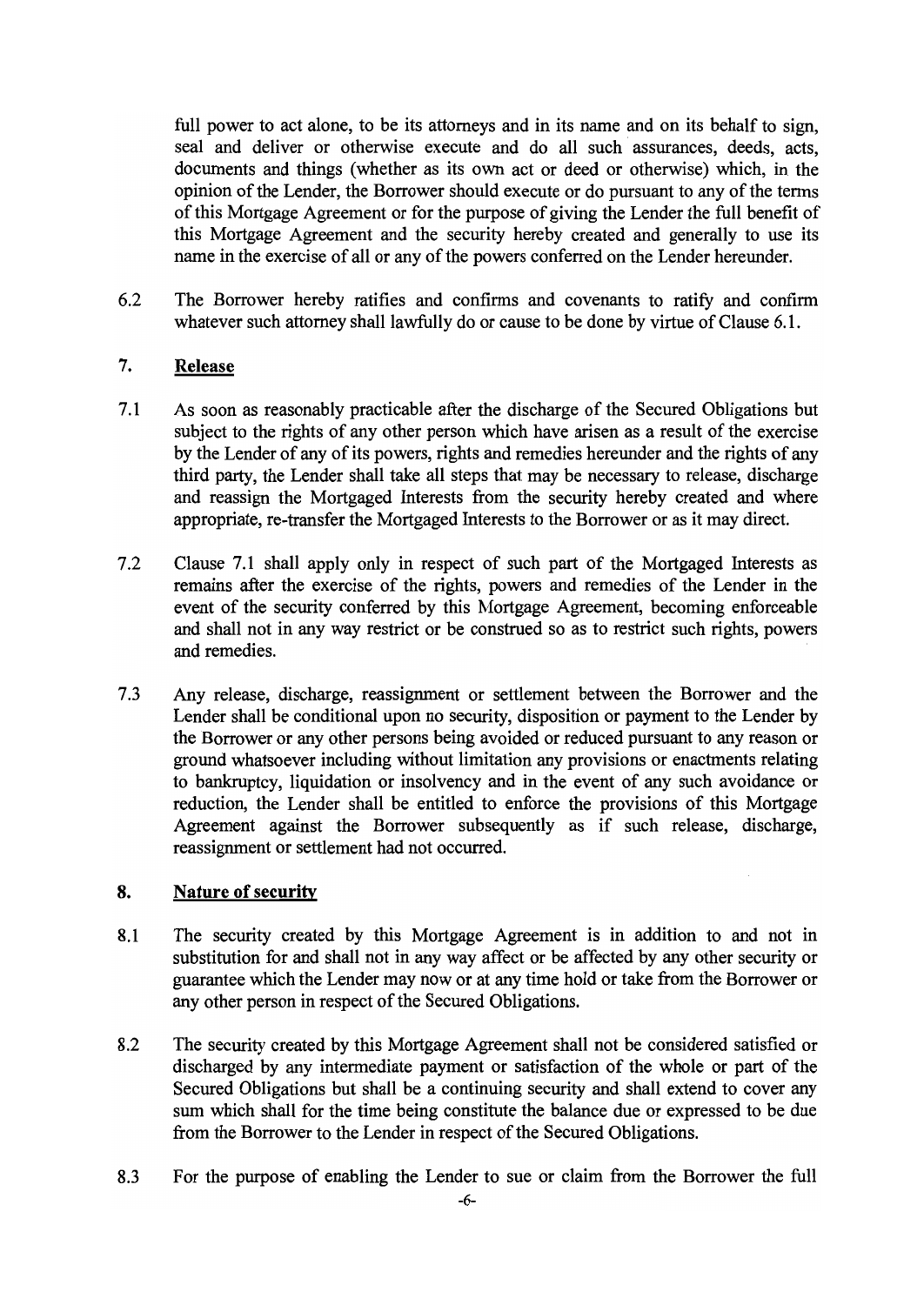full power to act alone, to be its attorneys and in its name and on its behalf to sign, seal and deliver or otherwise execute and do all such assurances, deeds, acts, documents and things (whether as its own act or deed or otherwise) which, in the opinion of the Lender, the Borrower should execute or do pursuant to any of the terms of this Mortgage Agreement or for the purpose of giving the Lender the full benefit of this Mortgage Agreement and the security hereby created and generally to use its name in the exercise of all or any of the powers conferred on the Lender hereunder.

6.2 The Borrower hereby ratifies and confirms and covenants to ratify and confirm whatever such attorney shall lawfully do or cause to be done by virtue of Clause 6.1.

### $7.$ **Release**

- $7.1$ As soon as reasonably practicable after the discharge of the Secured Obligations but subject to the rights of any other person which have arisen as a result of the exercise by the Lender of any of its powers, rights and remedies hereunder and the rights of any third party, the Lender shall take all steps that may be necessary to release, discharge and reassign the Mortgaged Interests from the security hereby created and where appropriate, re-transfer the Mortgaged Interests to the Borrower or as it may direct.
- $7.2$ Clause 7.1 shall apply only in respect of such part of the Mortgaged Interests as remains after the exercise of the rights, powers and remedies of the Lender in the event of the security conferred by this Mortgage Agreement, becoming enforceable and shall not in any way restrict or be construed so as to restrict such rights, powers and remedies.
- $7.3$ Any release, discharge, reassignment or settlement between the Borrower and the Lender shall be conditional upon no security, disposition or payment to the Lender by the Borrower or any other persons being avoided or reduced pursuant to any reason or ground whatsoever including without limitation any provisions or enactments relating to bankruptcy, liquidation or insolvency and in the event of any such avoidance or reduction, the Lender shall be entitled to enforce the provisions of this Mortgage Agreement against the Borrower subsequently as if such release, discharge, reassignment or settlement had not occurred.

### 8. **Nature of security**

- The security created by this Mortgage Agreement is in addition to and not in 8.1 substitution for and shall not in any way affect or be affected by any other security or guarantee which the Lender may now or at any time hold or take from the Borrower or any other person in respect of the Secured Obligations.
- The security created by this Mortgage Agreement shall not be considered satisfied or 8.2 discharged by any intermediate payment or satisfaction of the whole or part of the Secured Obligations but shall be a continuing security and shall extend to cover any sum which shall for the time being constitute the balance due or expressed to be due from the Borrower to the Lender in respect of the Secured Obligations.
- 8.3 For the purpose of enabling the Lender to sue or claim from the Borrower the full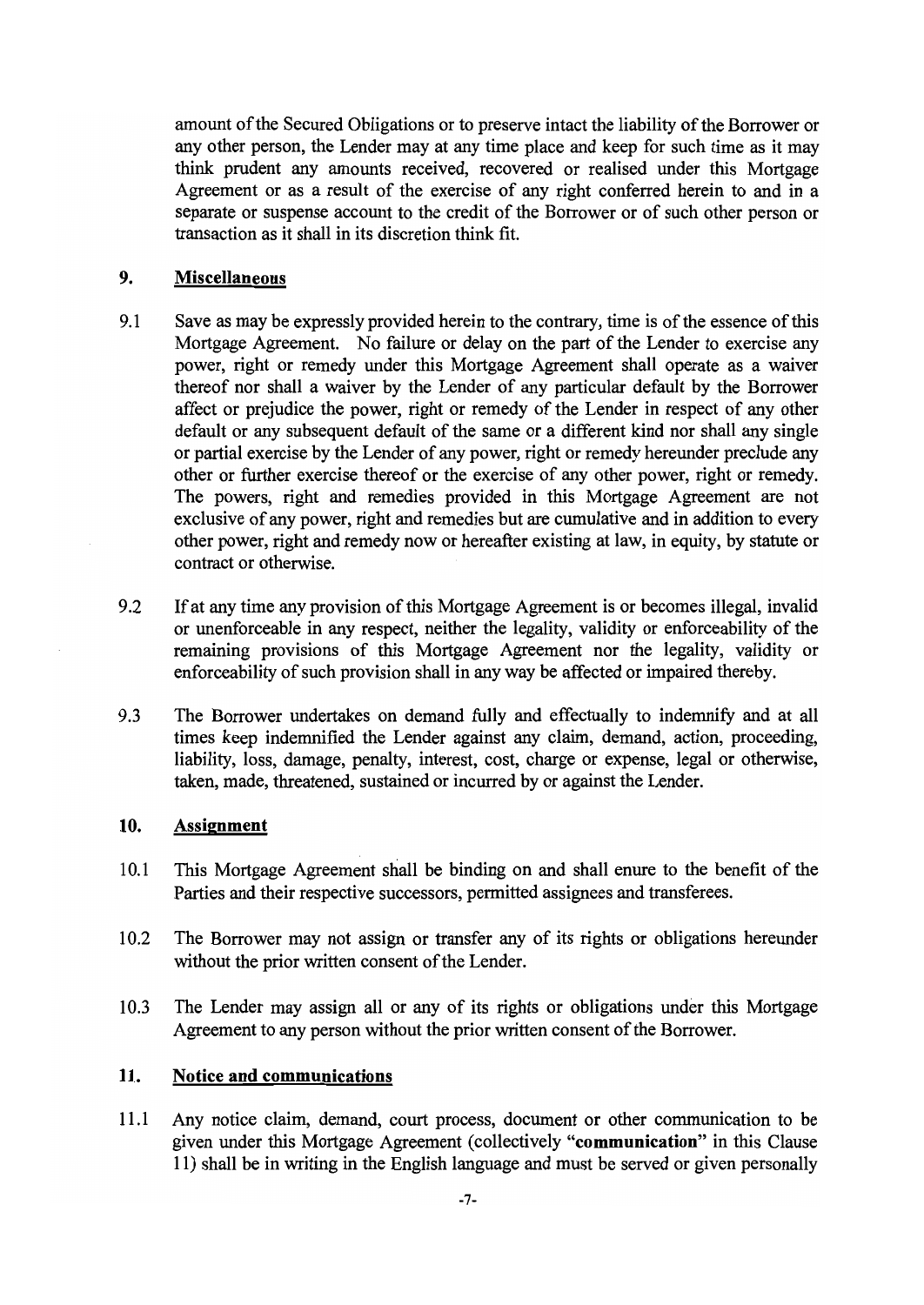amount of the Secured Obligations or to preserve intact the liability of the Borrower or any other person, the Lender may at any time place and keep for such time as it may think prudent any amounts received, recovered or realised under this Mortgage Agreement or as a result of the exercise of any right conferred herein to and in a separate or suspense account to the credit of the Borrower or of such other person or transaction as it shall in its discretion think fit.

#### 9. **Miscellaneous**

- 9.1 Save as may be expressly provided herein to the contrary, time is of the essence of this Mortgage Agreement. No failure or delay on the part of the Lender to exercise any power, right or remedy under this Mortgage Agreement shall operate as a waiver thereof nor shall a waiver by the Lender of any particular default by the Borrower affect or prejudice the power, right or remedy of the Lender in respect of any other default or any subsequent default of the same or a different kind nor shall any single or partial exercise by the Lender of any power, right or remedy hereunder preclude any other or further exercise thereof or the exercise of any other power, right or remedy. The powers, right and remedies provided in this Mortgage Agreement are not exclusive of any power, right and remedies but are cumulative and in addition to every other power, right and remedy now or hereafter existing at law, in equity, by statute or contract or otherwise.
- If at any time any provision of this Mortgage Agreement is or becomes illegal, invalid 9.2 or unenforceable in any respect, neither the legality, validity or enforceability of the remaining provisions of this Mortgage Agreement nor the legality, validity or enforceability of such provision shall in any way be affected or impaired thereby.
- 9.3 The Borrower undertakes on demand fully and effectually to indemnify and at all times keep indemnified the Lender against any claim, demand, action, proceeding, liability, loss, damage, penalty, interest, cost, charge or expense, legal or otherwise, taken, made, threatened, sustained or incurred by or against the Lender.

#### 10. **Assignment**

- 10.1 This Mortgage Agreement shall be binding on and shall enure to the benefit of the Parties and their respective successors, permitted assignees and transferees.
- 10.2 The Borrower may not assign or transfer any of its rights or obligations hereunder without the prior written consent of the Lender.
- 10.3 The Lender may assign all or any of its rights or obligations under this Mortgage Agreement to any person without the prior written consent of the Borrower.

### **Notice and communications** 11.

Any notice claim, demand, court process, document or other communication to be  $11.1$ given under this Mortgage Agreement (collectively "communication" in this Clause 11) shall be in writing in the English language and must be served or given personally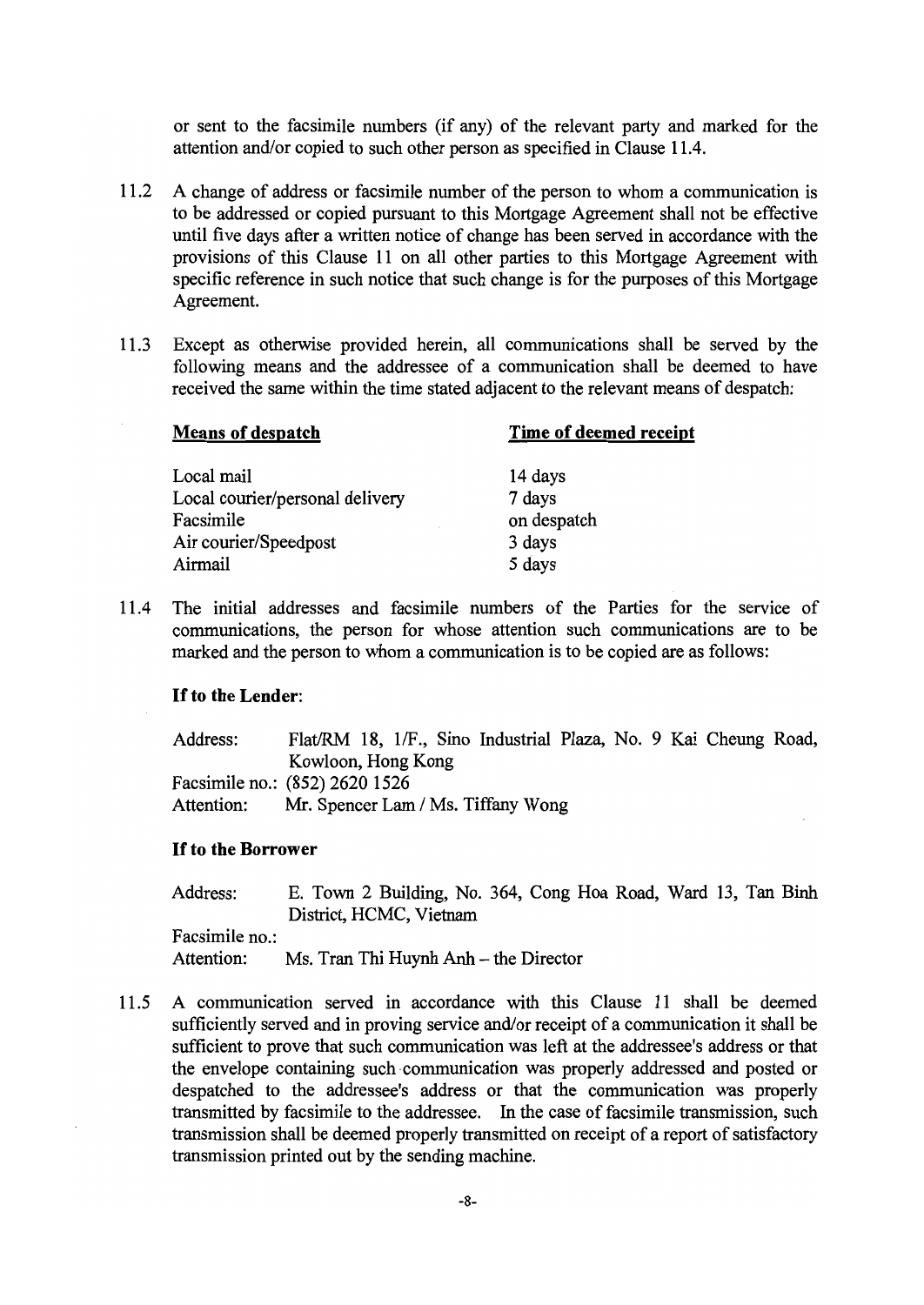or sent to the facsimile numbers (if any) of the relevant party and marked for the attention and/or copied to such other person as specified in Clause 11.4.

- $11.2$ A change of address or facsimile number of the person to whom a communication is to be addressed or copied pursuant to this Mortgage Agreement shall not be effective until five days after a written notice of change has been served in accordance with the provisions of this Clause 11 on all other parties to this Mortgage Agreement with specific reference in such notice that such change is for the purposes of this Mortgage Agreement.
- 11.3 Except as otherwise provided herein, all communications shall be served by the following means and the addressee of a communication shall be deemed to have received the same within the time stated adjacent to the relevant means of despatch:

| <b>Means of despatch</b>        | Time of deemed receipt |  |
|---------------------------------|------------------------|--|
| Local mail                      | 14 days                |  |
| Local courier/personal delivery | 7 days                 |  |
| Facsimile                       | on despatch            |  |
| Air courier/Speedpost           | 3 days                 |  |
| Airmail                         | 5 days                 |  |
|                                 |                        |  |

The initial addresses and facsimile numbers of the Parties for the service of 11.4 communications, the person for whose attention such communications are to be marked and the person to whom a communication is to be copied are as follows:

### If to the Lender:

Flat/RM 18, 1/F., Sino Industrial Plaza, No. 9 Kai Cheung Road, Address: Kowloon, Hong Kong Facsimile no.: (852) 2620 1526 Attention: Mr. Spencer Lam / Ms. Tiffany Wong

### **If to the Borrower**

Address: E. Town 2 Building, No. 364, Cong Hoa Road, Ward 13, Tan Binh District, HCMC, Vietnam Facsimile no.:

Attention: Ms. Tran Thi Huynh Anh - the Director

11.5 A communication served in accordance with this Clause 11 shall be deemed sufficiently served and in proving service and/or receipt of a communication it shall be sufficient to prove that such communication was left at the addressee's address or that the envelope containing such communication was properly addressed and posted or despatched to the addressee's address or that the communication was properly transmitted by facsimile to the addressee. In the case of facsimile transmission, such transmission shall be deemed properly transmitted on receipt of a report of satisfactory transmission printed out by the sending machine.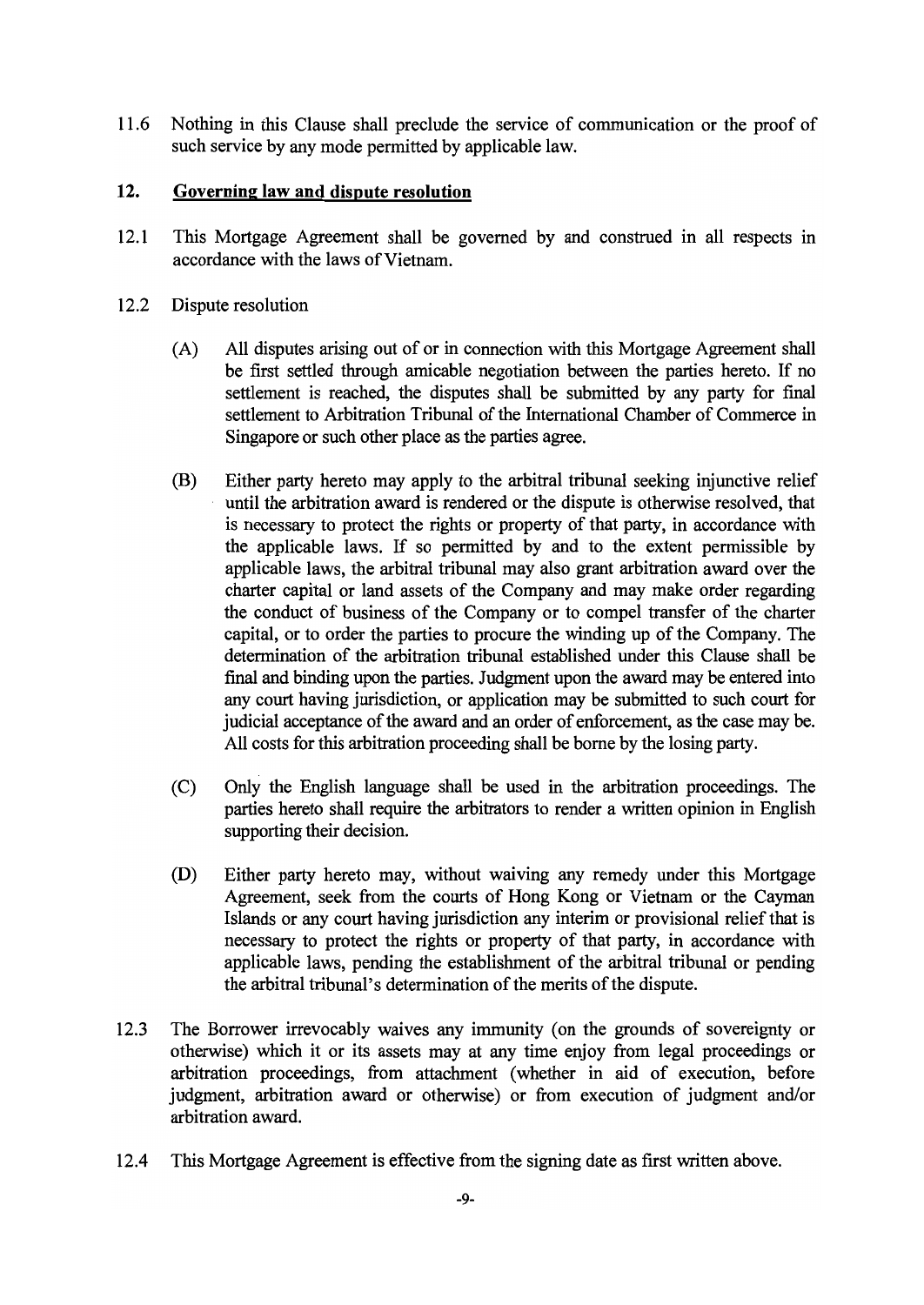Nothing in this Clause shall preclude the service of communication or the proof of 11.6 such service by any mode permitted by applicable law.

#### $12.$ Governing law and dispute resolution

- $12.1$ This Mortgage Agreement shall be governed by and construed in all respects in accordance with the laws of Vietnam.
- 12.2 Dispute resolution
	- All disputes arising out of or in connection with this Mortgage Agreement shall  $(A)$ be first settled through amicable negotiation between the parties hereto. If no settlement is reached, the disputes shall be submitted by any party for final settlement to Arbitration Tribunal of the International Chamber of Commerce in Singapore or such other place as the parties agree.
	- (B) Either party hereto may apply to the arbitral tribunal seeking injunctive relief until the arbitration award is rendered or the dispute is otherwise resolved, that is necessary to protect the rights or property of that party, in accordance with the applicable laws. If so permitted by and to the extent permissible by applicable laws, the arbitral tribunal may also grant arbitration award over the charter capital or land assets of the Company and may make order regarding the conduct of business of the Company or to compel transfer of the charter capital, or to order the parties to procure the winding up of the Company. The determination of the arbitration tribunal established under this Clause shall be final and binding upon the parties. Judgment upon the award may be entered into any court having jurisdiction, or application may be submitted to such court for judicial acceptance of the award and an order of enforcement, as the case may be. All costs for this arbitration proceeding shall be borne by the losing party.
	- $(C)$ Only the English language shall be used in the arbitration proceedings. The parties hereto shall require the arbitrators to render a written opinion in English supporting their decision.
	- (D) Either party hereto may, without waiving any remedy under this Mortgage Agreement, seek from the courts of Hong Kong or Vietnam or the Cayman Islands or any court having jurisdiction any interim or provisional relief that is necessary to protect the rights or property of that party, in accordance with applicable laws, pending the establishment of the arbitral tribunal or pending the arbitral tribunal's determination of the merits of the dispute.
- $12.3$ The Borrower irrevocably waives any immunity (on the grounds of sovereignty or otherwise) which it or its assets may at any time enjoy from legal proceedings or arbitration proceedings, from attachment (whether in aid of execution, before judgment, arbitration award or otherwise) or from execution of judgment and/or arbitration award.
- 12.4 This Mortgage Agreement is effective from the signing date as first written above.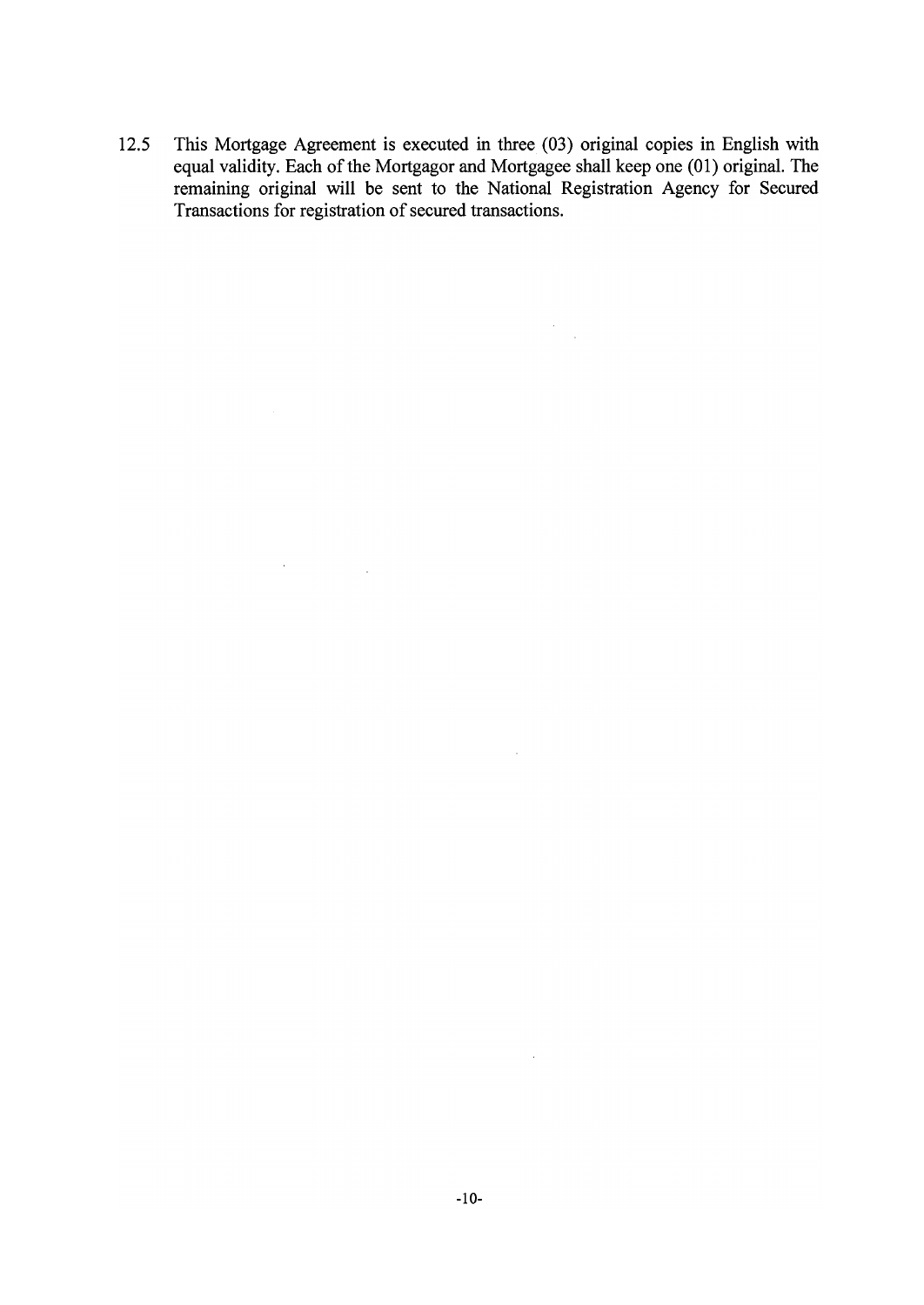This Mortgage Agreement is executed in three (03) original copies in English with 12.5 equal validity. Each of the Mortgagor and Mortgagee shall keep one (01) original. The remaining original will be sent to the National Registration Agency for Secured Transactions for registration of secured transactions.

 $\mathcal{A}^{\text{max}}_{\text{max}}$  and  $\mathcal{A}^{\text{max}}_{\text{max}}$ 

 $\label{eq:2} \frac{1}{\sqrt{2}}\sum_{i=1}^n\frac{1}{\sqrt{2\pi}}\int_0^1\frac{1}{\sqrt{2\pi}}\left(\frac{1}{\sqrt{2\pi}}\right)^2\frac{1}{\sqrt{2\pi}}\int_0^1\frac{1}{\sqrt{2\pi}}\left(\frac{1}{\sqrt{2\pi}}\right)^2\frac{1}{\sqrt{2\pi}}\frac{1}{\sqrt{2\pi}}\frac{1}{\sqrt{2\pi}}\frac{1}{\sqrt{2\pi}}\frac{1}{\sqrt{2\pi}}\frac{1}{\sqrt{2\pi}}\frac{1}{\sqrt{2\pi}}\frac{1}{\sqrt{2\pi}}\frac$ 

 $\sim 10$ 

 $\bar{z}$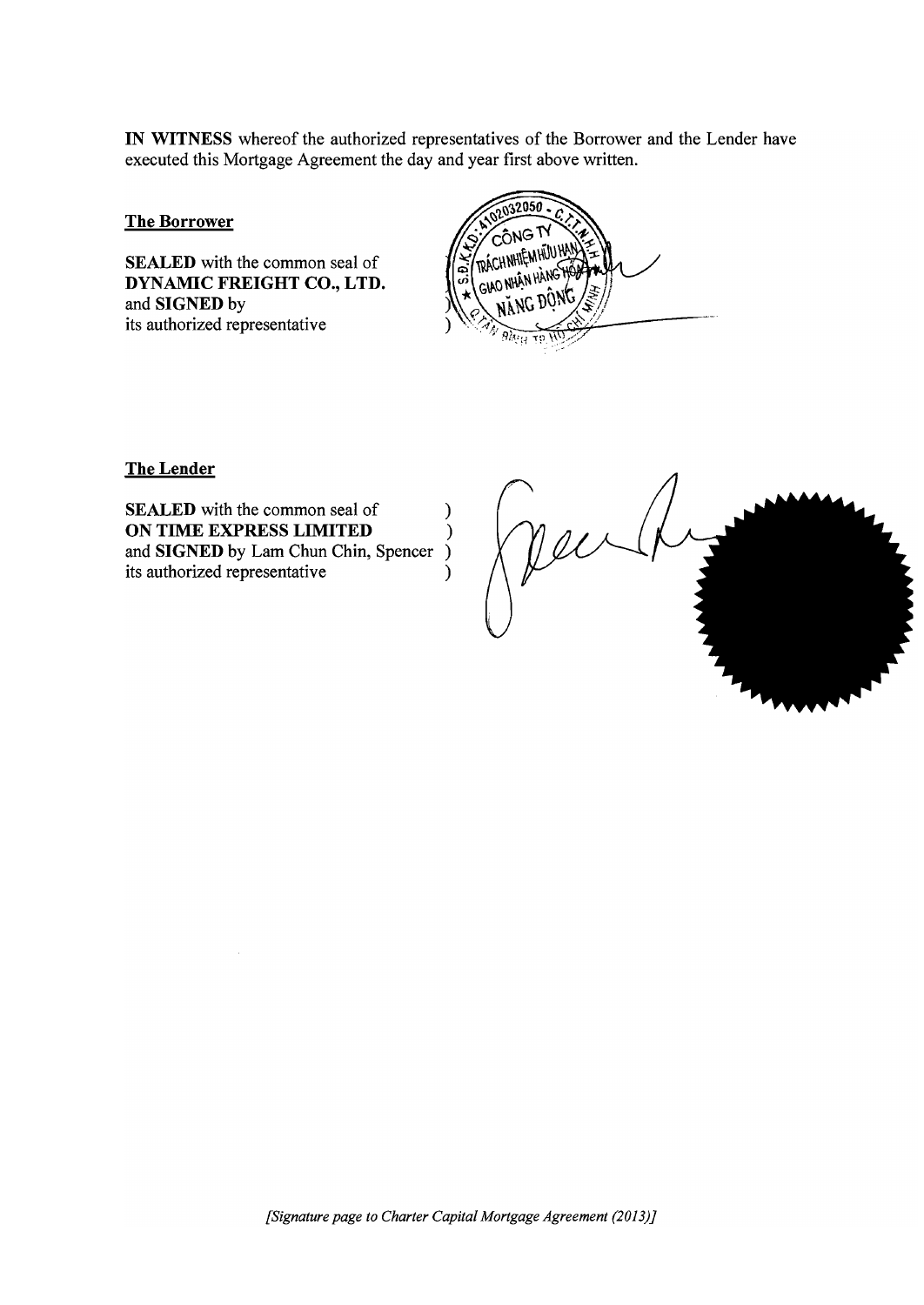IN WITNESS whereof the authorized representatives of the Borrower and the Lender have executed this Mortgage Agreement the day and year first above written.

**The Borrower** 

**SEALED** with the common seal of DYNAMIC FREIGHT CO., LTD. and SIGNED by its authorized representative



**The Lender** 

**SEALED** with the common seal of  $\mathcal{E}$ ON TIME EXPRESS LIMITED  $\lambda$ and SIGNED by Lam Chun Chin, Spencer ) its authorized representative  $\lambda$ 

Jeuli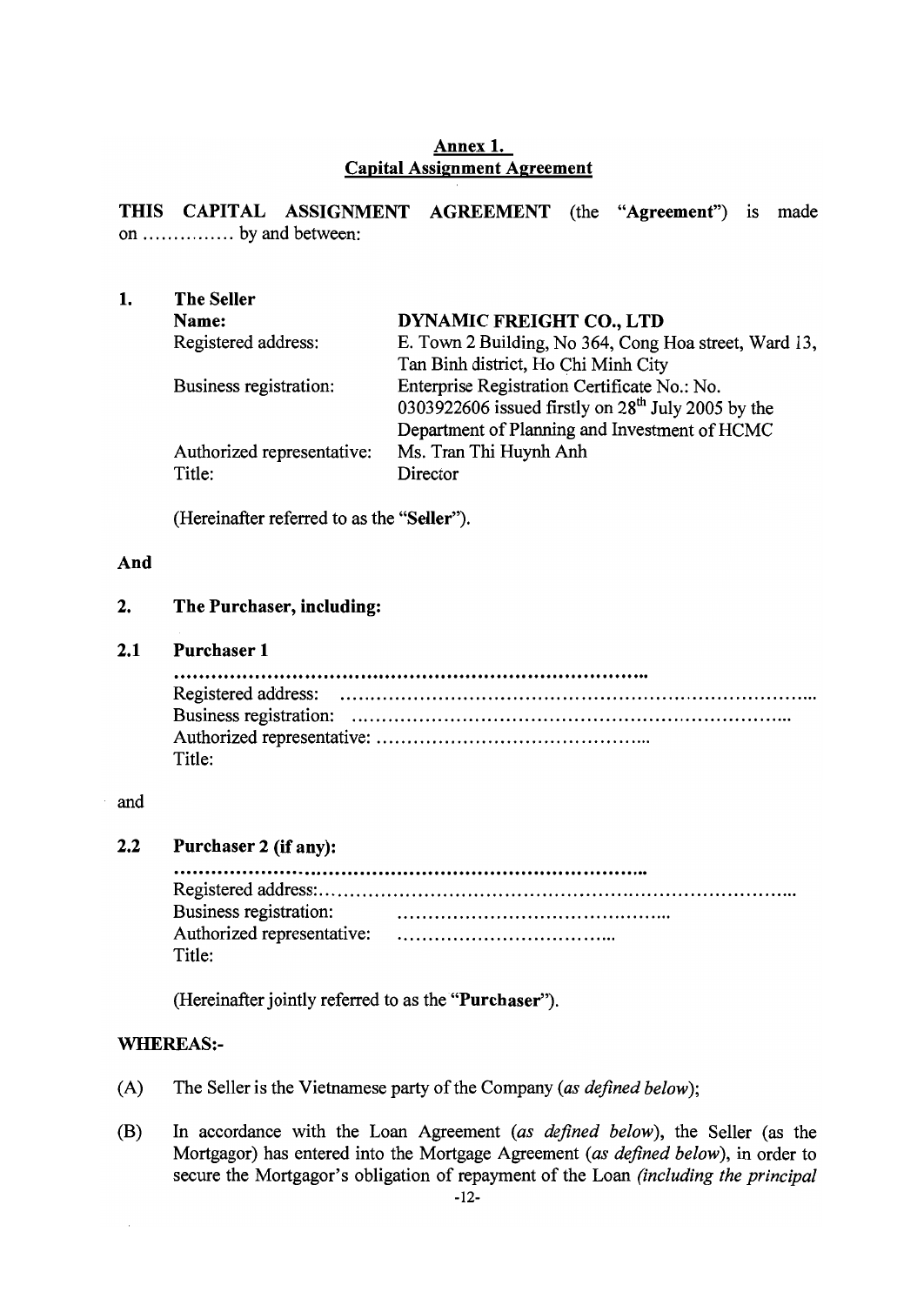### Annex 1. **Capital Assignment Agreement**

THIS CAPITAL ASSIGNMENT AGREEMENT (the "Agreement") is made on ............... by and between:

| <b>The Seller</b>          |                                                       |
|----------------------------|-------------------------------------------------------|
| Name:                      | DYNAMIC FREIGHT CO., LTD                              |
| Registered address:        | E. Town 2 Building, No 364, Cong Hoa street, Ward 13, |
|                            | Tan Binh district, Ho Chi Minh City                   |
| Business registration:     | Enterprise Registration Certificate No.: No.          |
|                            | 0303922606 issued firstly on $28th$ July 2005 by the  |
|                            | Department of Planning and Investment of HCMC         |
| Authorized representative: | Ms. Tran Thi Huynh Anh                                |
| Title:                     | Director                                              |
|                            |                                                       |

(Hereinafter referred to as the "Seller").

### And

#### $2.$ The Purchaser, including:

#### $2.1$ **Purchaser 1**

| Title: |  |
|--------|--|

### and

#### $2.2$ Purchaser 2 (if any):

Business registration: Authorized representative: Title:

(Hereinafter jointly referred to as the "Purchaser").

### **WHEREAS:-**

- The Seller is the Vietnamese party of the Company (as defined below);  $(A)$
- In accordance with the Loan Agreement (as defined below), the Seller (as the  $(B)$ Mortgagor) has entered into the Mortgage Agreement (as defined below), in order to secure the Mortgagor's obligation of repayment of the Loan (including the principal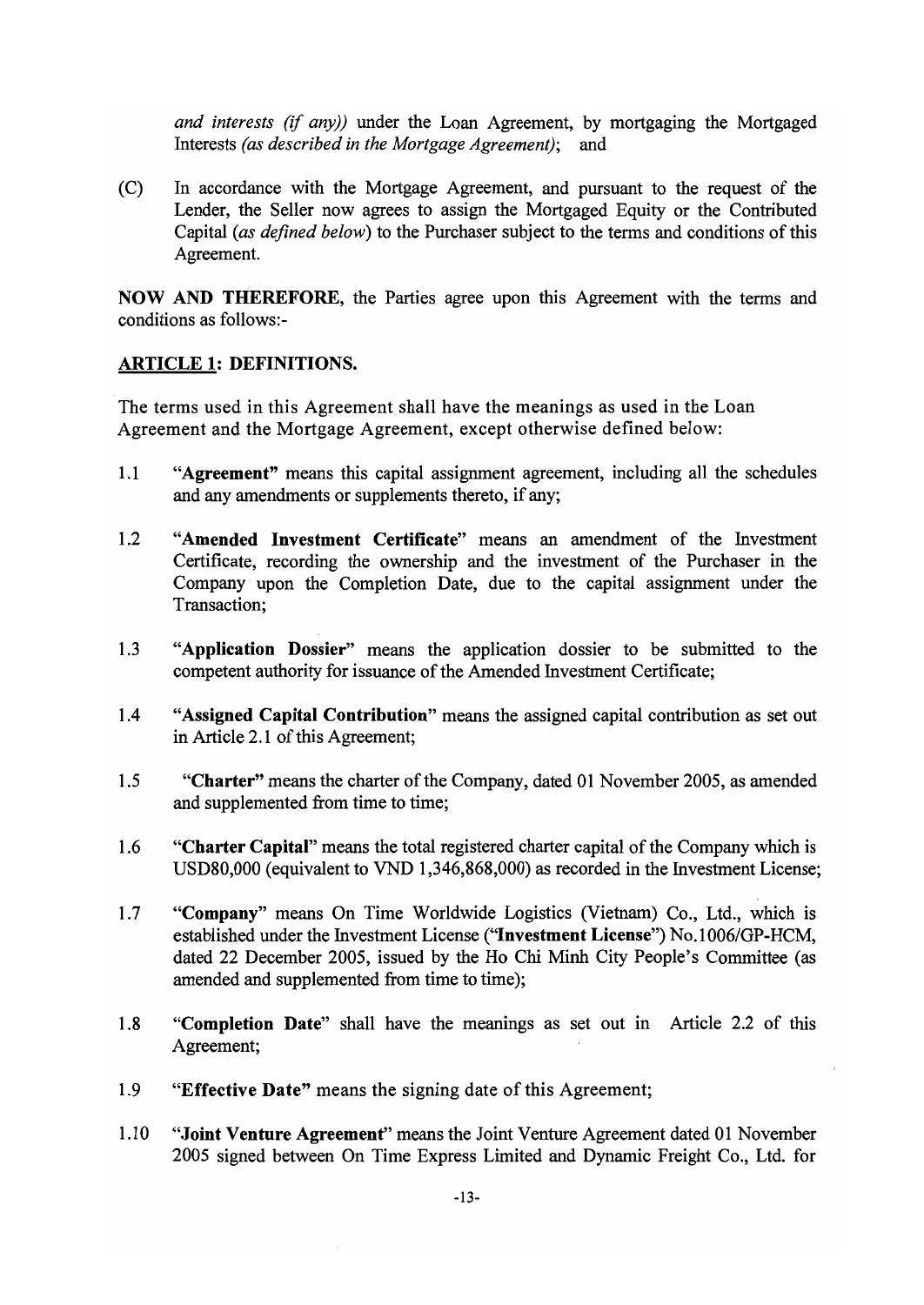and interests (if any)) under the Loan Agreement, by mortgaging the Mortgaged Interests (as described in the Mortgage Agreement); and

In accordance with the Mortgage Agreement, and pursuant to the request of the  $(C)$ Lender, the Seller now agrees to assign the Mortgaged Equity or the Contributed Capital (as defined below) to the Purchaser subject to the terms and conditions of this Agreement.

NOW AND THEREFORE, the Parties agree upon this Agreement with the terms and conditions as follows:-

### **ARTICLE 1: DEFINITIONS.**

The terms used in this Agreement shall have the meanings as used in the Loan Agreement and the Mortgage Agreement, except otherwise defined below:

- $1.1$ "Agreement" means this capital assignment agreement, including all the schedules and any amendments or supplements thereto, if any;
- $1.2$ "Amended Investment Certificate" means an amendment of the Investment Certificate, recording the ownership and the investment of the Purchaser in the Company upon the Completion Date, due to the capital assignment under the Transaction:
- $1.3$ "Application Dossier" means the application dossier to be submitted to the competent authority for issuance of the Amended Investment Certificate;
- "Assigned Capital Contribution" means the assigned capital contribution as set out  $1.4$ in Article 2.1 of this Agreement;
- $1.5$ "Charter" means the charter of the Company, dated 01 November 2005, as amended and supplemented from time to time;
- "Charter Capital" means the total registered charter capital of the Company which is 1.6 USD80,000 (equivalent to VND 1,346,868,000) as recorded in the Investment License;
- $1.7$ "Company" means On Time Worldwide Logistics (Vietnam) Co., Ltd., which is established under the Investment License ("Investment License") No.1006/GP-HCM, dated 22 December 2005, issued by the Ho Chi Minh City People's Committee (as amended and supplemented from time to time);
- 1.8 "Completion Date" shall have the meanings as set out in Article 2.2 of this Agreement;
- 1.9 "Effective Date" means the signing date of this Agreement;
- "Joint Venture Agreement" means the Joint Venture Agreement dated 01 November 1.10 2005 signed between On Time Express Limited and Dynamic Freight Co., Ltd. for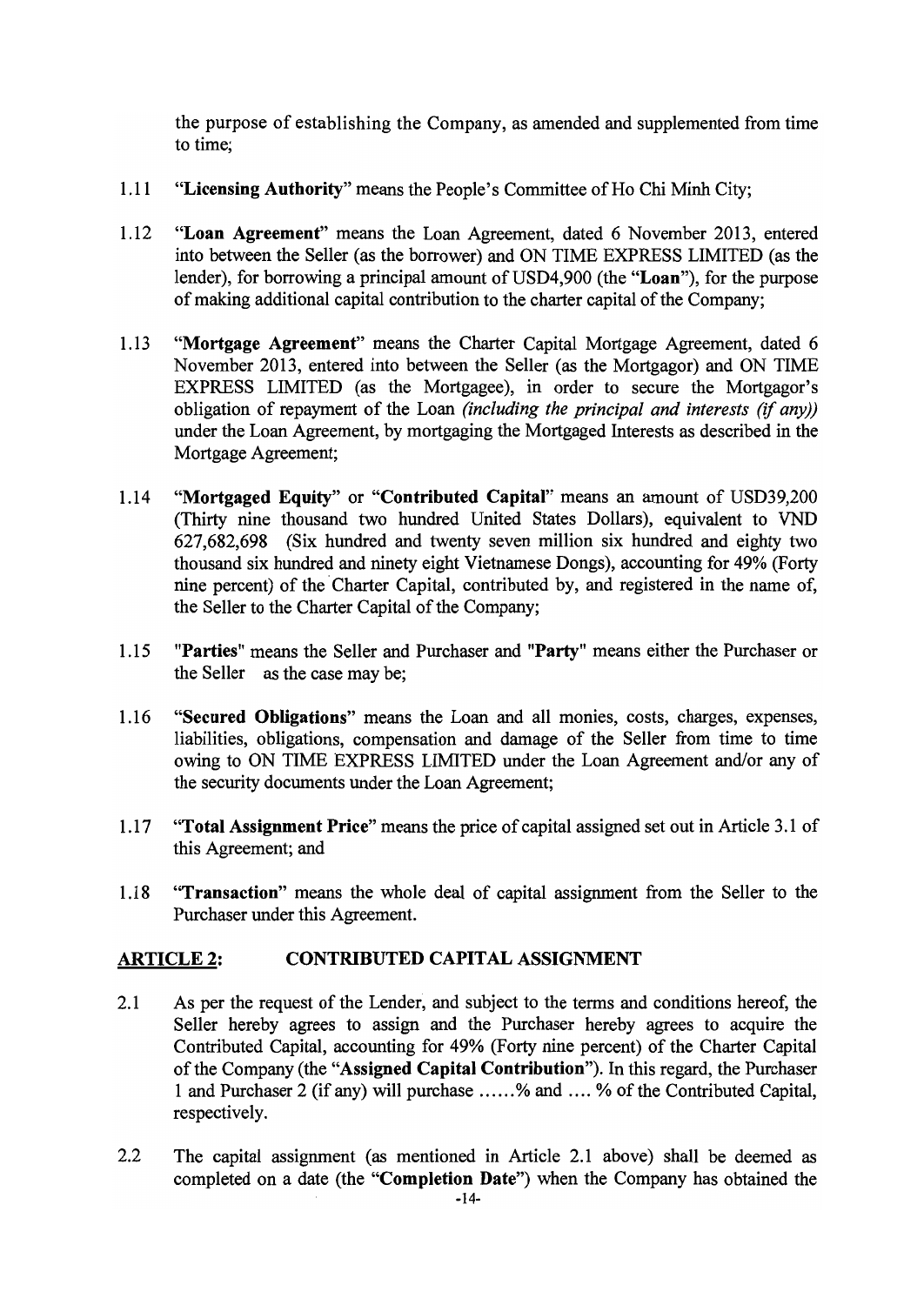the purpose of establishing the Company, as amended and supplemented from time to time:

- "Licensing Authority" means the People's Committee of Ho Chi Minh City;  $1.11$
- 1.12 "Loan Agreement" means the Loan Agreement, dated 6 November 2013, entered into between the Seller (as the borrower) and ON TIME EXPRESS LIMITED (as the lender), for borrowing a principal amount of USD4,900 (the "Loan"), for the purpose of making additional capital contribution to the charter capital of the Company;
- $1.13$ "Mortgage Agreement" means the Charter Capital Mortgage Agreement, dated 6 November 2013, entered into between the Seller (as the Mortgagor) and ON TIME EXPRESS LIMITED (as the Mortgagee), in order to secure the Mortgagor's obligation of repayment of the Loan (including the principal and interests (if any)) under the Loan Agreement, by mortgaging the Mortgaged Interests as described in the Mortgage Agreement;
- $1.14$ "Mortgaged Equity" or "Contributed Capital" means an amount of USD39,200 (Thirty nine thousand two hundred United States Dollars), equivalent to VND 627,682,698 (Six hundred and twenty seven million six hundred and eighty two thousand six hundred and ninety eight Vietnamese Dongs), accounting for 49% (Forty nine percent) of the Charter Capital, contributed by, and registered in the name of, the Seller to the Charter Capital of the Company;
- "Parties" means the Seller and Purchaser and "Party" means either the Purchaser or  $1.15$ the Seller as the case may be;
- "Secured Obligations" means the Loan and all monies, costs, charges, expenses, 1.16 liabilities, obligations, compensation and damage of the Seller from time to time owing to ON TIME EXPRESS LIMITED under the Loan Agreement and/or any of the security documents under the Loan Agreement;
- "Total Assignment Price" means the price of capital assigned set out in Article 3.1 of  $1.17$ this Agreement; and
- "Transaction" means the whole deal of capital assignment from the Seller to the 1.18 Purchaser under this Agreement.

### **ARTICLE 2: CONTRIBUTED CAPITAL ASSIGNMENT**

- $2.1$ As per the request of the Lender, and subject to the terms and conditions hereof, the Seller hereby agrees to assign and the Purchaser hereby agrees to acquire the Contributed Capital, accounting for 49% (Forty nine percent) of the Charter Capital of the Company (the "Assigned Capital Contribution"). In this regard, the Purchaser 1 and Purchaser 2 (if any) will purchase ......% and .... % of the Contributed Capital, respectively.
- $2.2$ The capital assignment (as mentioned in Article 2.1 above) shall be deemed as completed on a date (the "Completion Date") when the Company has obtained the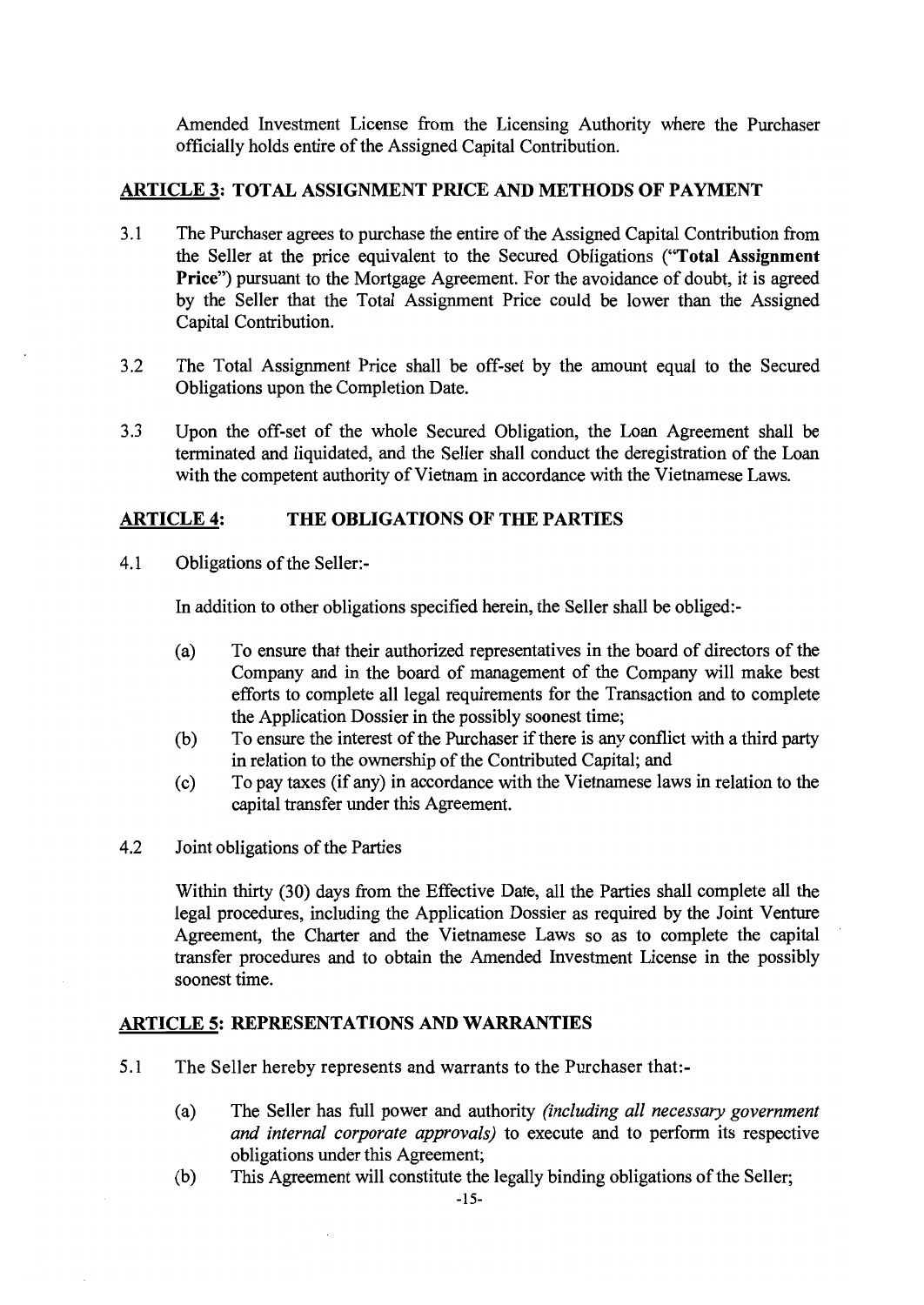Amended Investment License from the Licensing Authority where the Purchaser officially holds entire of the Assigned Capital Contribution.

### **ARTICLE 3: TOTAL ASSIGNMENT PRICE AND METHODS OF PAYMENT**

- $3.1$ The Purchaser agrees to purchase the entire of the Assigned Capital Contribution from the Seller at the price equivalent to the Secured Obligations ("Total Assignment **Price**") pursuant to the Mortgage Agreement. For the avoidance of doubt, it is agreed by the Seller that the Total Assignment Price could be lower than the Assigned Capital Contribution.
- $3.2$ The Total Assignment Price shall be off-set by the amount equal to the Secured Obligations upon the Completion Date.
- $3.3$ Upon the off-set of the whole Secured Obligation, the Loan Agreement shall be terminated and liquidated, and the Seller shall conduct the deregistration of the Loan with the competent authority of Vietnam in accordance with the Vietnamese Laws.

#### **ARTICLE 4:** THE OBLIGATIONS OF THE PARTIES

 $4.1$ Obligations of the Seller:-

In addition to other obligations specified herein, the Seller shall be obliged:-

- $(a)$ To ensure that their authorized representatives in the board of directors of the Company and in the board of management of the Company will make best efforts to complete all legal requirements for the Transaction and to complete the Application Dossier in the possibly soonest time;
- To ensure the interest of the Purchaser if there is any conflict with a third party  $(b)$ in relation to the ownership of the Contributed Capital; and
- To pay taxes (if any) in accordance with the Vietnamese laws in relation to the  $(c)$ capital transfer under this Agreement.
- $4.2$ Joint obligations of the Parties

Within thirty (30) days from the Effective Date, all the Parties shall complete all the legal procedures, including the Application Dossier as required by the Joint Venture Agreement, the Charter and the Vietnamese Laws so as to complete the capital transfer procedures and to obtain the Amended Investment License in the possibly soonest time.

### **ARTICLE 5: REPRESENTATIONS AND WARRANTIES**

- $5.1$ The Seller hereby represents and warrants to the Purchaser that:-
	- $(a)$ The Seller has full power and authority (including all necessary government and internal corporate approvals) to execute and to perform its respective obligations under this Agreement;
	- This Agreement will constitute the legally binding obligations of the Seller;  $(b)$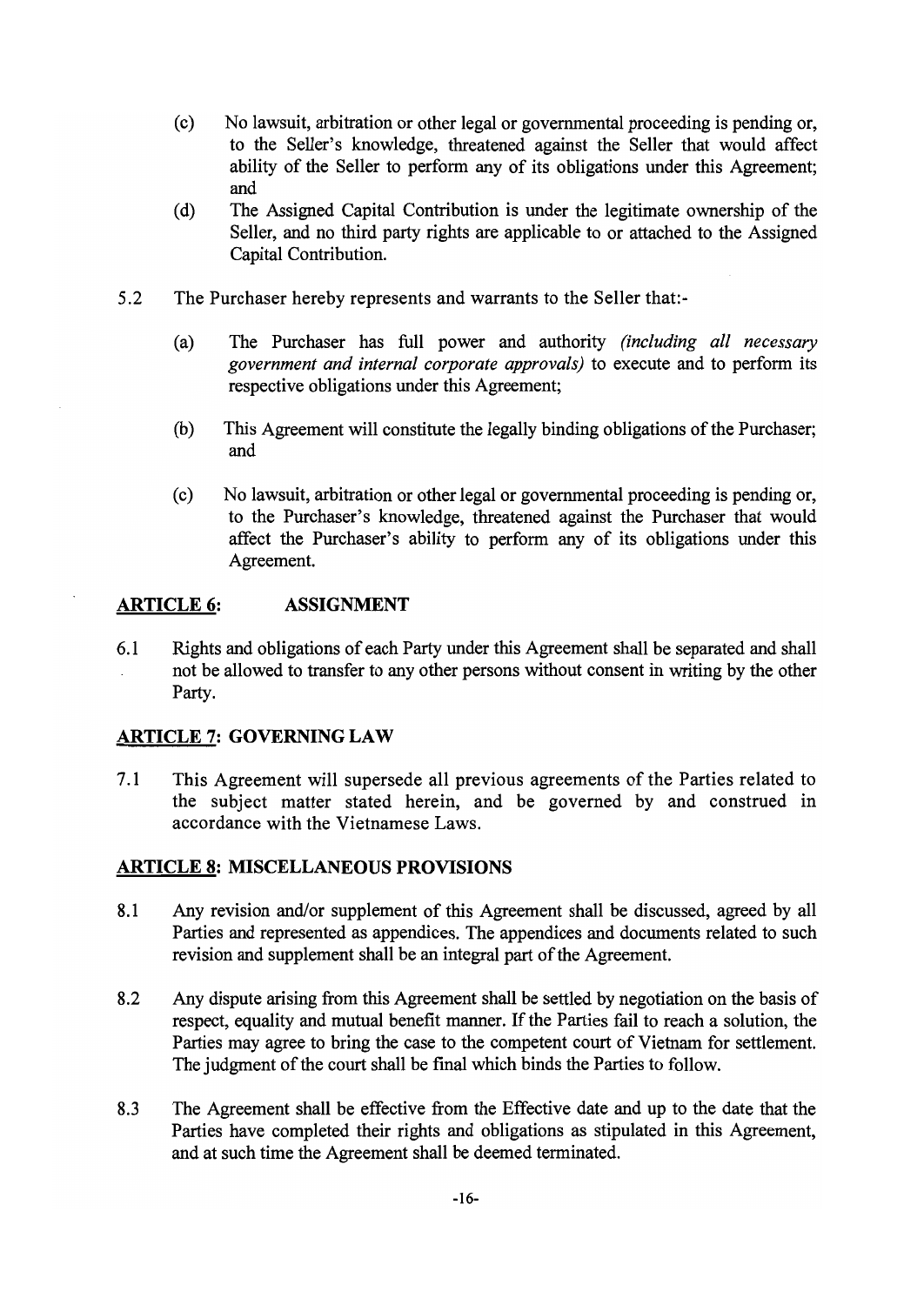- No lawsuit, arbitration or other legal or governmental proceeding is pending or,  $(c)$ to the Seller's knowledge, threatened against the Seller that would affect ability of the Seller to perform any of its obligations under this Agreement: and
- The Assigned Capital Contribution is under the legitimate ownership of the  $(d)$ Seller, and no third party rights are applicable to or attached to the Assigned Capital Contribution.
- $5.2$ The Purchaser hereby represents and warrants to the Seller that:-
	- The Purchaser has full power and authority (including all necessary  $(a)$ government and internal corporate approvals) to execute and to perform its respective obligations under this Agreement;
	- This Agreement will constitute the legally binding obligations of the Purchaser;  $(b)$ and
	- $(c)$ No lawsuit, arbitration or other legal or governmental proceeding is pending or, to the Purchaser's knowledge, threatened against the Purchaser that would affect the Purchaser's ability to perform any of its obligations under this Agreement.

### **ARTICLE 6: ASSIGNMENT**

 $6.1$ Rights and obligations of each Party under this Agreement shall be separated and shall not be allowed to transfer to any other persons without consent in writing by the other Party.

### **ARTICLE 7: GOVERNING LAW**

This Agreement will supersede all previous agreements of the Parties related to  $7.1$ the subject matter stated herein, and be governed by and construed in accordance with the Vietnamese Laws.

### **ARTICLE 8: MISCELLANEOUS PROVISIONS**

- Any revision and/or supplement of this Agreement shall be discussed, agreed by all 8.1 Parties and represented as appendices. The appendices and documents related to such revision and supplement shall be an integral part of the Agreement.
- 8.2 Any dispute arising from this Agreement shall be settled by negotiation on the basis of respect, equality and mutual benefit manner. If the Parties fail to reach a solution, the Parties may agree to bring the case to the competent court of Vietnam for settlement. The judgment of the court shall be final which binds the Parties to follow.
- 8.3 The Agreement shall be effective from the Effective date and up to the date that the Parties have completed their rights and obligations as stipulated in this Agreement, and at such time the Agreement shall be deemed terminated.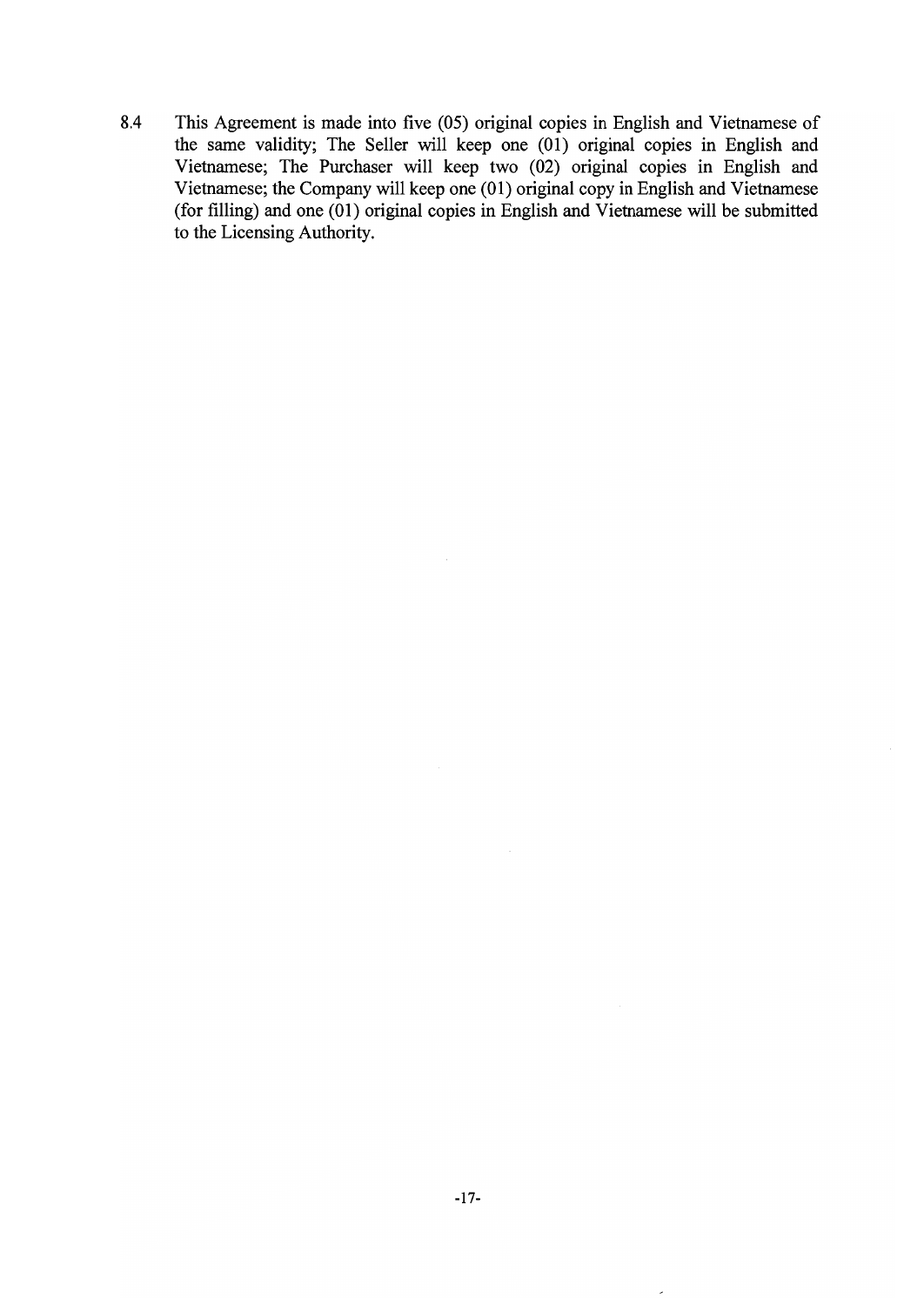8.4 This Agreement is made into five (05) original copies in English and Vietnamese of the same validity; The Seller will keep one (01) original copies in English and Vietnamese; The Purchaser will keep two (02) original copies in English and Vietnamese; the Company will keep one (01) original copy in English and Vietnamese (for filling) and one  $(01)$  original copies in English and Vietnamese will be submitted to the Licensing Authority.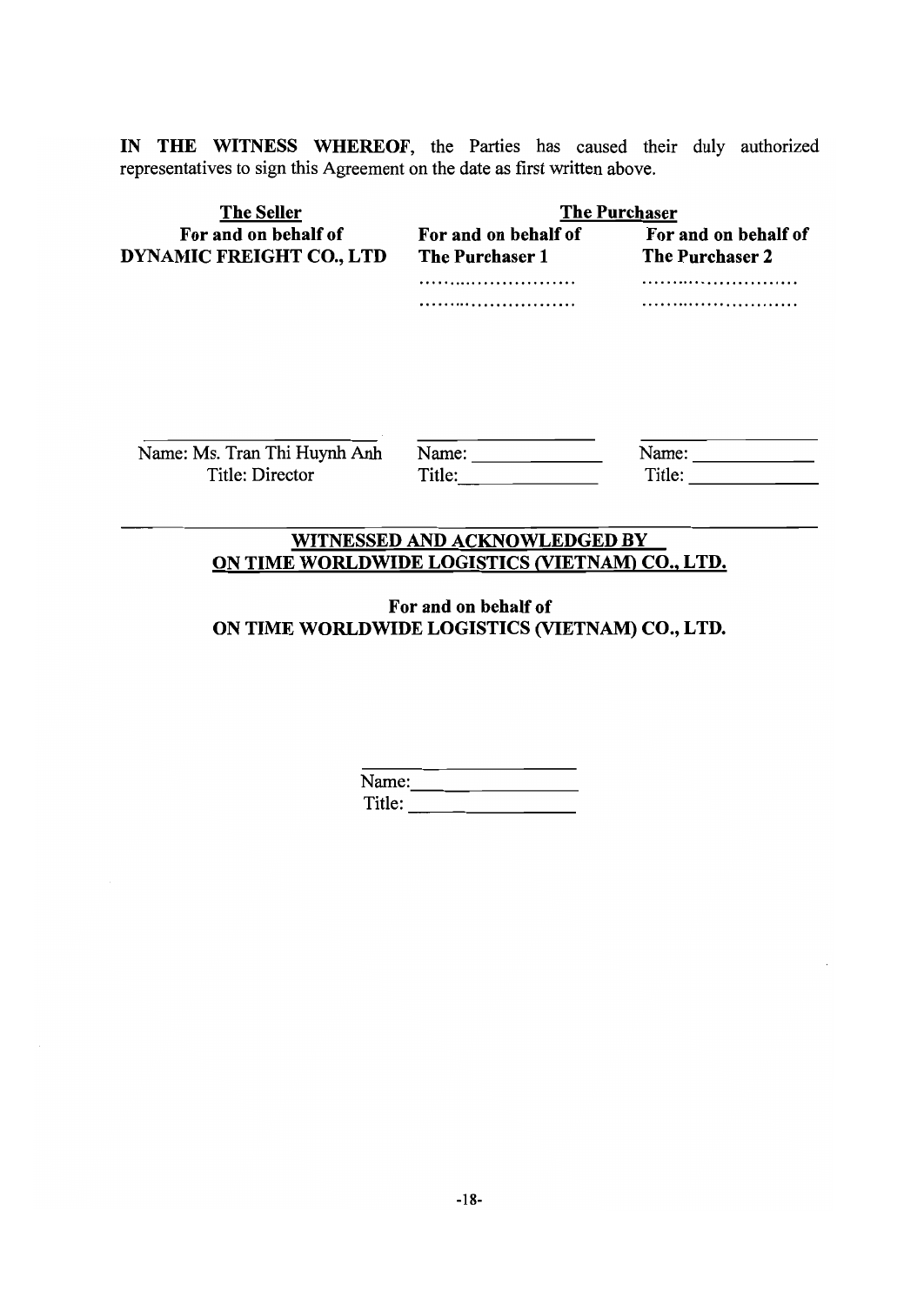IN THE WITNESS WHEREOF, the Parties has caused their duly authorized representatives to sign this Agreement on the date as first written above.

| <b>The Purchaser</b>                           |                                         |
|------------------------------------------------|-----------------------------------------|
| For and on behalf of<br><b>The Purchaser 1</b> | For and on behalf of<br>The Purchaser 2 |
| .                                              |                                         |
|                                                |                                         |
| Name:<br>Title:                                | Name:<br>Title:                         |
|                                                |                                         |

## WITNESSED AND ACKNOWLEDGED BY ON TIME WORLDWIDE LOGISTICS (VIETNAM) CO., LTD.

For and on behalf of ON TIME WORLDWIDE LOGISTICS (VIETNAM) CO., LTD.

| Name:  |  |  |
|--------|--|--|
| Title: |  |  |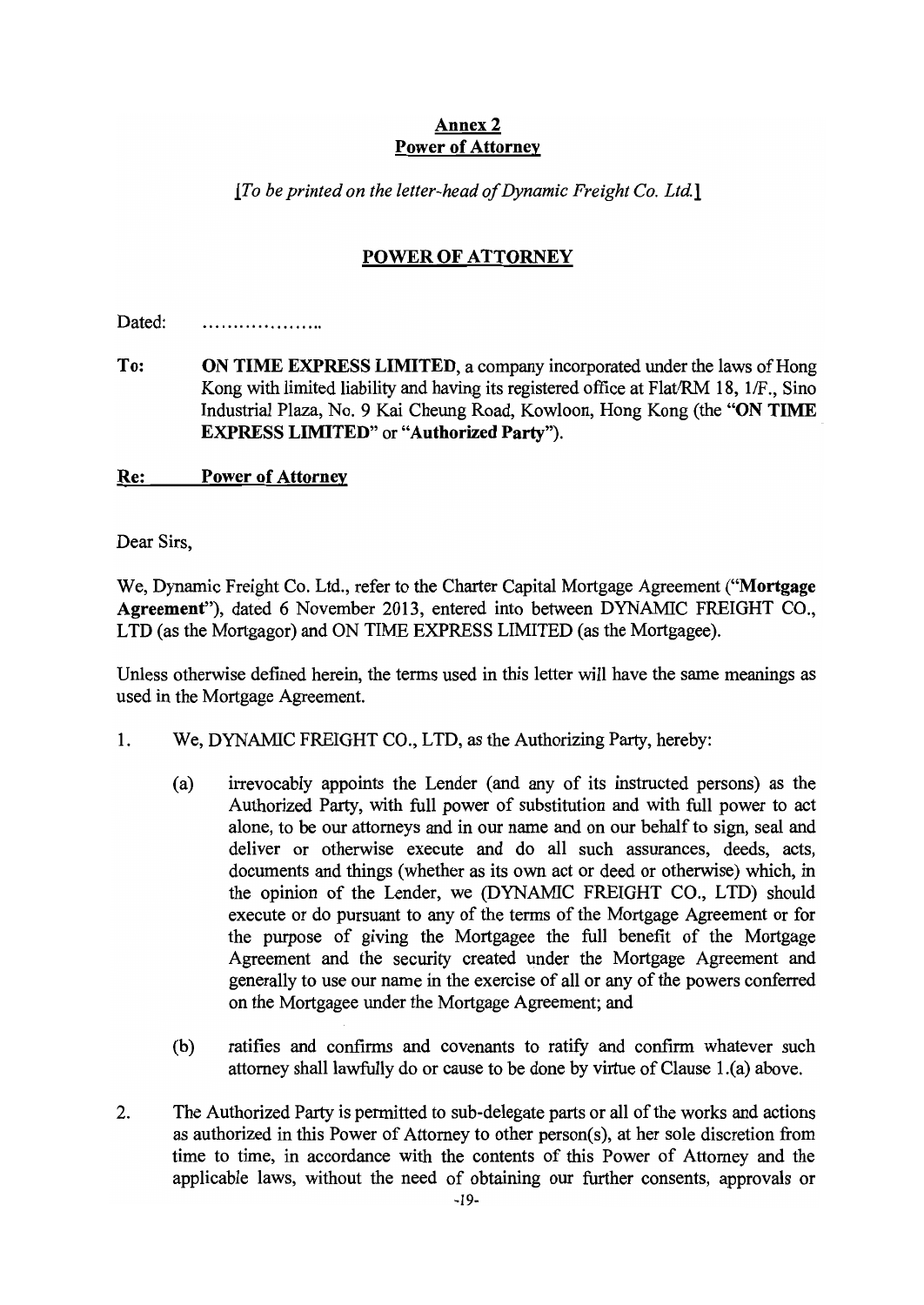### Annex 2 **Power of Attorney**

 $[To be printed on the letter-head of Dynamic Freight Co. Ltd.]$ 

## **POWER OF ATTORNEY**

Dated: . . . . . . . . . . . . . . . . . . . .

To: **ON TIME EXPRESS LIMITED, a company incorporated under the laws of Hong** Kong with limited liability and having its registered office at Flat/RM 18, 1/F., Sino Industrial Plaza, No. 9 Kai Cheung Road, Kowloon, Hong Kong (the "ON TIME" **EXPRESS LIMITED**" or "Authorized Party").

Re: **Power of Attorney** 

Dear Sirs,

We, Dynamic Freight Co. Ltd., refer to the Charter Capital Mortgage Agreement ("Mortgage Agreement"), dated 6 November 2013, entered into between DYNAMIC FREIGHT CO., LTD (as the Mortgagor) and ON TIME EXPRESS LIMITED (as the Mortgagee).

Unless otherwise defined herein, the terms used in this letter will have the same meanings as used in the Mortgage Agreement.

- 1. We, DYNAMIC FREIGHT CO., LTD, as the Authorizing Party, hereby:
	- $(a)$ irrevocably appoints the Lender (and any of its instructed persons) as the Authorized Party, with full power of substitution and with full power to act alone, to be our attorneys and in our name and on our behalf to sign, seal and deliver or otherwise execute and do all such assurances, deeds, acts, documents and things (whether as its own act or deed or otherwise) which, in the opinion of the Lender, we (DYNAMIC FREIGHT CO., LTD) should execute or do pursuant to any of the terms of the Mortgage Agreement or for the purpose of giving the Mortgagee the full benefit of the Mortgage Agreement and the security created under the Mortgage Agreement and generally to use our name in the exercise of all or any of the powers conferred on the Mortgagee under the Mortgage Agreement; and
	- $(b)$ ratifies and confirms and covenants to ratify and confirm whatever such attorney shall lawfully do or cause to be done by virtue of Clause 1.(a) above.
- $2.$ The Authorized Party is permitted to sub-delegate parts or all of the works and actions as authorized in this Power of Attorney to other person(s), at her sole discretion from time to time, in accordance with the contents of this Power of Attorney and the applicable laws, without the need of obtaining our further consents, approvals or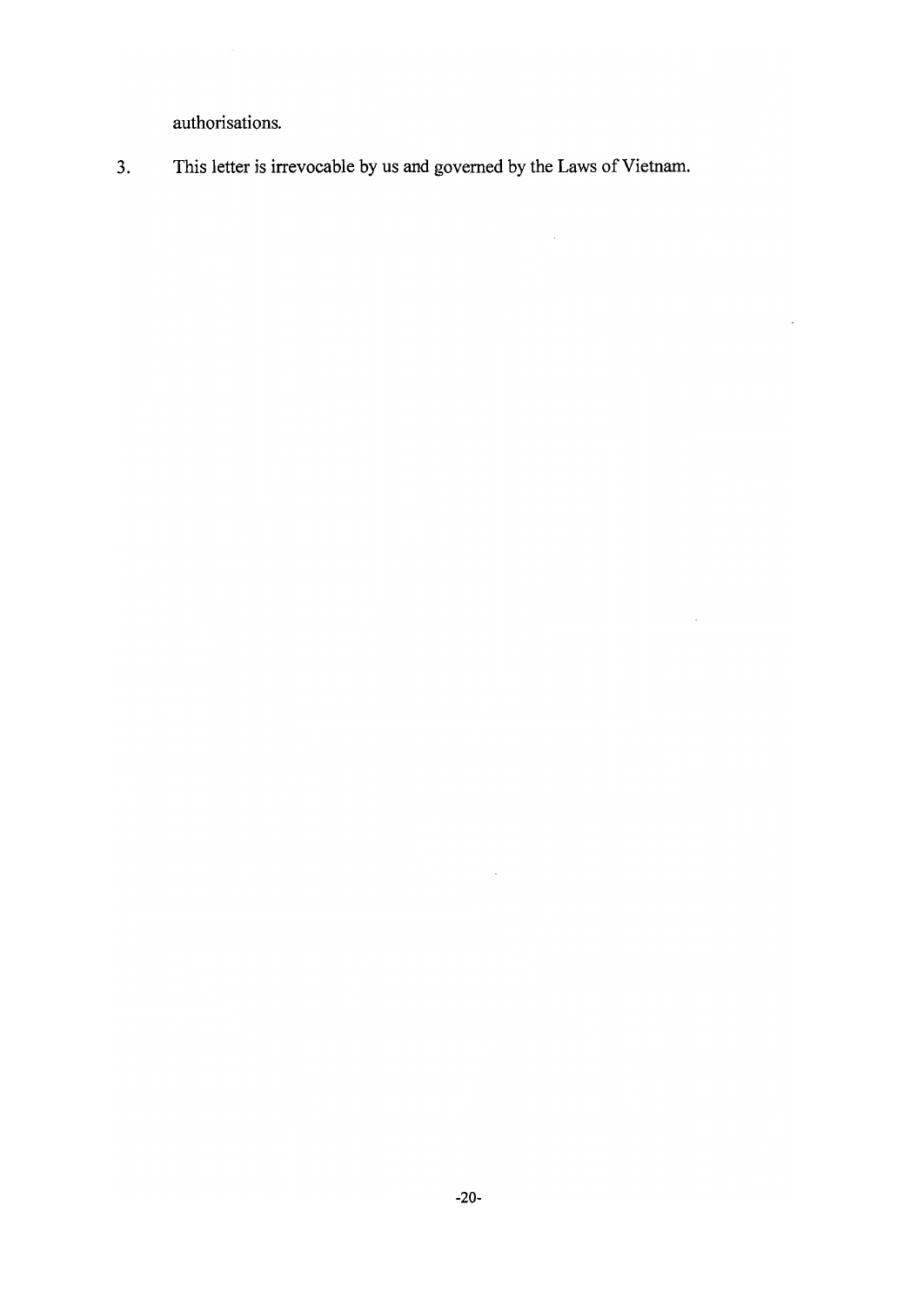authorisations.

This letter is irrevocable by us and governed by the Laws of Vietnam.  $3.$ 

 $\hat{\mathcal{A}}$